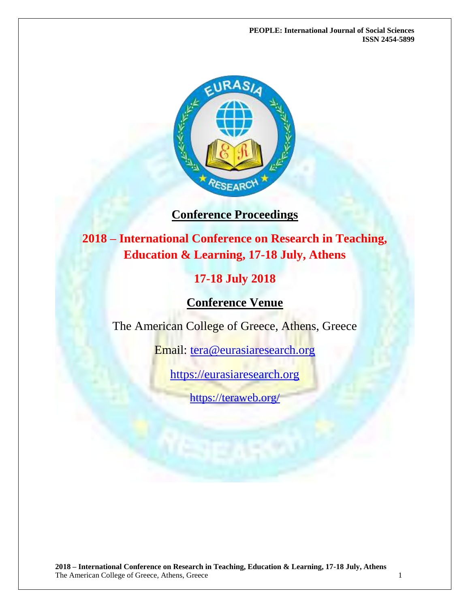**PEOPLE: International Journal of Social Sciences ISSN 2454-5899**



## **Conference Proceedings**

**2018 – International Conference on Research in Teaching, Education & Learning, 17-18 July, Athens**

# **17-18 July 2018**

**Conference Venue**

The American College of Greece, Athens, Greece

Email: [tera@eurasiaresearch.org](mailto:tera@eurasiaresearch.org)

[https://eurasiaresearch.org](https://eurasiaresearch.org/)

<https://teraweb.org/>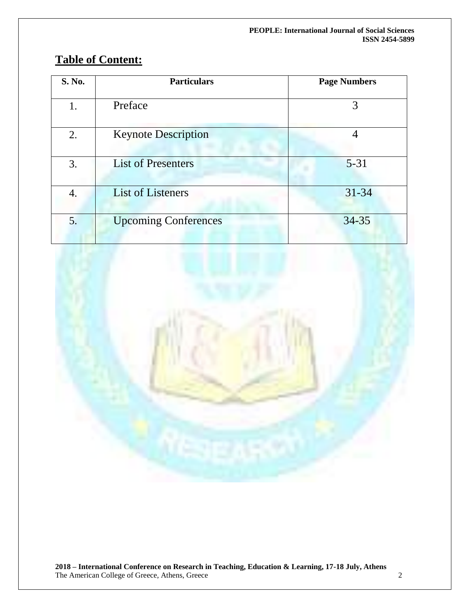| S. No. | <b>Particulars</b>          | <b>Page Numbers</b> |
|--------|-----------------------------|---------------------|
| 1.     | Preface                     | 3                   |
| 2.     | <b>Keynote Description</b>  | 4                   |
| 3.     | <b>List of Presenters</b>   | $5 - 31$            |
| 4.     | <b>List of Listeners</b>    | $31 - 34$           |
| 5.     | <b>Upcoming Conferences</b> | $34 - 35$           |

# **Table of Content:**

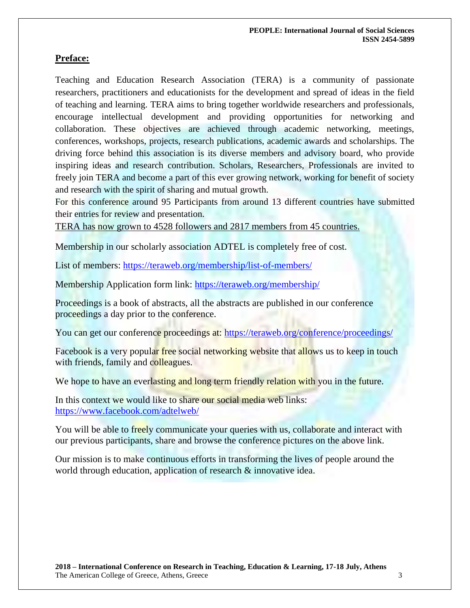### **Preface:**

Teaching and Education Research Association (TERA) is a community of passionate researchers, practitioners and educationists for the development and spread of ideas in the field of teaching and learning. TERA aims to bring together worldwide researchers and professionals, encourage intellectual development and providing opportunities for networking and collaboration. These objectives are achieved through academic networking, meetings, conferences, workshops, projects, research publications, academic awards and scholarships. The driving force behind this association is its diverse members and advisory board, who provide inspiring ideas and research contribution. Scholars, Researchers, Professionals are invited to freely join TERA and become a part of this ever growing network, working for benefit of society and research with the spirit of sharing and mutual growth.

For this conference around 95 Participants from around 13 different countries have submitted their entries for review and presentation.

TERA has now grown to 4528 followers and 2817 members from 45 countries.

Membership in our scholarly association ADTEL is completely free of cost.

List of members: https://teraweb.org/membership/list-of-members/

Membership Application form link: https://teraweb.org/membership/

Proceedings is a book of abstracts, all the abstracts are published in our conference proceedings a day prior to the conference.

You can get our conference proceedings at: https://teraweb.org/conference/proceedings/

Facebook is a very popular free social networking website that allows us to keep in touch with friends, family and colleagues.

We hope to have an everlasting and long term friendly relation with you in the future.

In this context we would like to share our social media web links: <https://www.facebook.com/adtelweb/>

You will be able to freely communicate your queries with us, collaborate and interact with our previous participants, share and browse the conference pictures on the above link.

Our mission is to make continuous efforts in transforming the lives of people around the world through education, application of research  $\&$  innovative idea.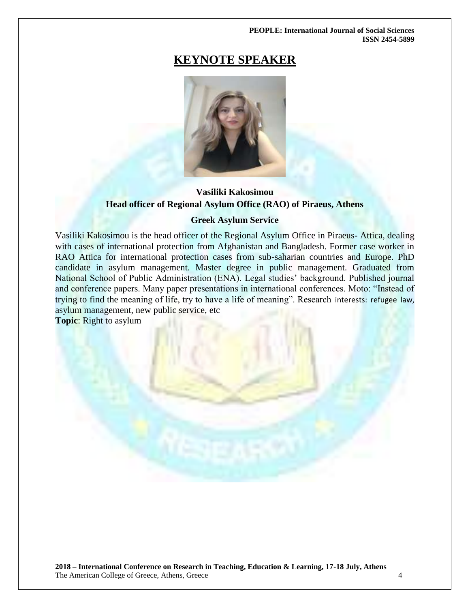#### **PEOPLE: International Journal of Social Sciences ISSN 2454-5899**

# **KEYNOTE SPEAKER**



### **Vasiliki Kakosimou Head officer of Regional Asylum Office (RAO) of Piraeus, Athens**

### **Greek Asylum Service**

Vasiliki Kakosimou is the head officer of the Regional Asylum Office in Piraeus- Attica, dealing with cases of international protection from Afghanistan and Bangladesh. Former case worker in RAO Attica for international protection cases from sub-saharian countries and Europe. PhD candidate in asylum management. Master degree in public management. Graduated from National School of Public Administration (ENA). Legal studies' background. Published journal and conference papers. Many paper presentations in international conferences. Moto: "Instead of trying to find the meaning of life, try to have a life of meaning". Research interests: refugee law, asylum management, new public service, etc **Topic**: Right to asylum

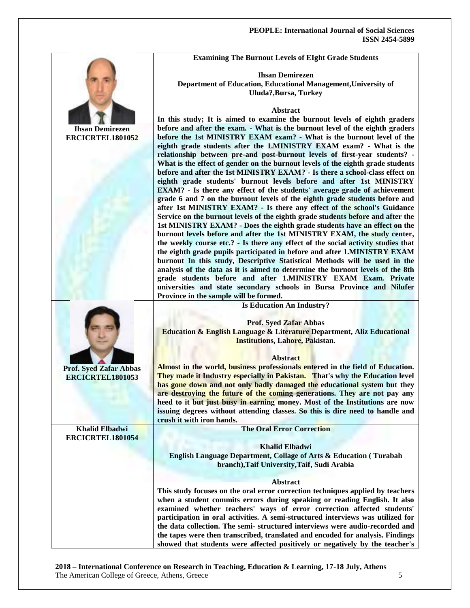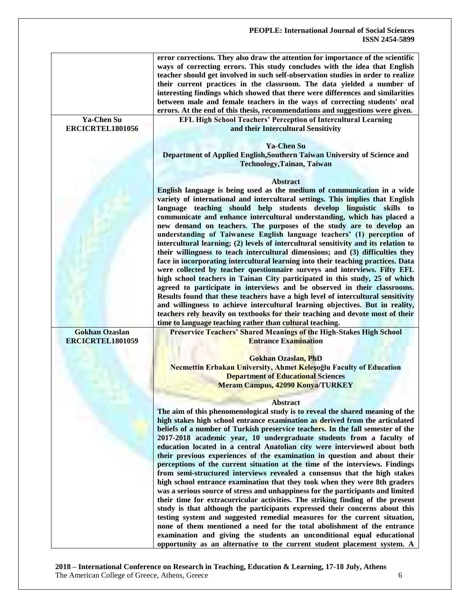|                                           | error corrections. They also draw the attention for importance of the scientific<br>ways of correcting errors. This study concludes with the idea that English<br>teacher should get involved in such self-observation studies in order to realize<br>their current practices in the classroom. The data yielded a number of<br>interesting findings which showed that there were differences and similarities<br>between male and female teachers in the ways of correcting students' oral<br>errors. At the end of this thesis, recommendations and suggestions were given.                                                                                                                                                 |
|-------------------------------------------|-------------------------------------------------------------------------------------------------------------------------------------------------------------------------------------------------------------------------------------------------------------------------------------------------------------------------------------------------------------------------------------------------------------------------------------------------------------------------------------------------------------------------------------------------------------------------------------------------------------------------------------------------------------------------------------------------------------------------------|
| Ya-Chen Su<br>ERCICRTEL1801056            | EFL High School Teachers' Perception of Intercultural Learning<br>and their Intercultural Sensitivity                                                                                                                                                                                                                                                                                                                                                                                                                                                                                                                                                                                                                         |
|                                           | <b>Ya-Chen Su</b><br>Department of Applied English, Southern Taiwan University of Science and<br><b>Technology, Tainan, Taiwan</b>                                                                                                                                                                                                                                                                                                                                                                                                                                                                                                                                                                                            |
|                                           | <b>Abstract</b>                                                                                                                                                                                                                                                                                                                                                                                                                                                                                                                                                                                                                                                                                                               |
|                                           | English language is being used as the medium of communication in a wide<br>variety of international and intercultural settings. This implies that English<br>language teaching should help students develop linguistic skills to<br>communicate and enhance intercultural understanding, which has placed a<br>new demand on teachers. The purposes of the study are to develop an<br>understanding of Taiwanese English language teachers' (1) perception of<br>intercultural learning; (2) levels of intercultural sensitivity and its relation to                                                                                                                                                                          |
|                                           | their willingness to teach intercultural dimensions; and (3) difficulties they<br>face in incorporating intercultural learning into their teaching practices. Data<br>were collected by teacher questionnaire surveys and interviews. Fifty EFL<br>high school teachers in Tainan City participated in this study, 25 of which<br>agreed to participate in interviews and be observed in their classrooms.<br>Results found that these teachers have a high level of intercultural sensitivity<br>and willingness to achieve intercultural learning objectives. But in reality,<br>teachers rely heavily on textbooks for their teaching and devote most of their<br>time to language teaching rather than cultural teaching. |
| <b>Gokhan Ozaslan</b><br>ERCICRTEL1801059 | Preservice Teachers' Shared Meanings of the High-Stakes High School<br><b>Entrance Examination</b>                                                                                                                                                                                                                                                                                                                                                                                                                                                                                                                                                                                                                            |
|                                           | <b>Gokhan Ozaslan, PhD</b><br>Necmettin Erbakan University, Ahmet Kelesoğlu Faculty of Education<br><b>Department of Educational Sciences</b><br><b>Meram Campus, 42090 Konya/TURKEY</b>                                                                                                                                                                                                                                                                                                                                                                                                                                                                                                                                      |
|                                           | <b>Abstract</b>                                                                                                                                                                                                                                                                                                                                                                                                                                                                                                                                                                                                                                                                                                               |
|                                           | The aim of this phenomenological study is to reveal the shared meaning of the<br>high stakes high school entrance examination as derived from the articulated<br>beliefs of a number of Turkish preservice teachers. In the fall semester of the<br>2017-2018 academic year, 10 undergraduate students from a faculty of<br>education located in a central Anatolian city were interviewed about both<br>their previous experiences of the examination in question and about their                                                                                                                                                                                                                                            |
|                                           | perceptions of the current situation at the time of the interviews. Findings<br>from semi-structured interviews revealed a consensus that the high stakes<br>high school entrance examination that they took when they were 8th graders<br>was a serious source of stress and unhappiness for the participants and limited<br>their time for extracurricular activities. The striking finding of the present<br>study is that although the participants expressed their concerns about this<br>testing system and suggested remedial measures for the current situation,                                                                                                                                                      |
|                                           | none of them mentioned a need for the total abolishment of the entrance<br>examination and giving the students an unconditional equal educational<br>opportunity as an alternative to the current student placement system. A                                                                                                                                                                                                                                                                                                                                                                                                                                                                                                 |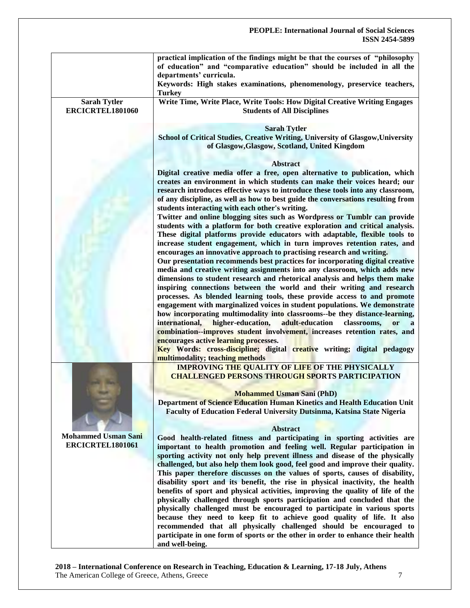|                                                | practical implication of the findings might be that the courses of "philosophy<br>of education" and "comparative education" should be included in all the<br>departments' curricula.<br>Keywords: High stakes examinations, phenomenology, preservice teachers,<br><b>Turkey</b>                                                                                                                                                                                                                                                                                                                                                                                                                                                                                                                                                                                                                                                                                          |
|------------------------------------------------|---------------------------------------------------------------------------------------------------------------------------------------------------------------------------------------------------------------------------------------------------------------------------------------------------------------------------------------------------------------------------------------------------------------------------------------------------------------------------------------------------------------------------------------------------------------------------------------------------------------------------------------------------------------------------------------------------------------------------------------------------------------------------------------------------------------------------------------------------------------------------------------------------------------------------------------------------------------------------|
| <b>Sarah Tytler</b><br>ERCICRTEL1801060        | Write Time, Write Place, Write Tools: How Digital Creative Writing Engages<br><b>Students of All Disciplines</b>                                                                                                                                                                                                                                                                                                                                                                                                                                                                                                                                                                                                                                                                                                                                                                                                                                                          |
|                                                | <b>Sarah Tytler</b><br>School of Critical Studies, Creative Writing, University of Glasgow, University<br>of Glasgow, Glasgow, Scotland, United Kingdom                                                                                                                                                                                                                                                                                                                                                                                                                                                                                                                                                                                                                                                                                                                                                                                                                   |
|                                                |                                                                                                                                                                                                                                                                                                                                                                                                                                                                                                                                                                                                                                                                                                                                                                                                                                                                                                                                                                           |
|                                                | <b>Abstract</b><br>Digital creative media offer a free, open alternative to publication, which<br>creates an environment in which students can make their voices heard; our<br>research introduces effective ways to introduce these tools into any classroom,<br>of any discipline, as well as how to best guide the conversations resulting from<br>students interacting with each other's writing.<br>Twitter and online blogging sites such as Wordpress or Tumblr can provide                                                                                                                                                                                                                                                                                                                                                                                                                                                                                        |
|                                                | students with a platform for both creative exploration and critical analysis.<br>These digital platforms provide educators with adaptable, flexible tools to<br>increase student engagement, which in turn improves retention rates, and<br>encourages an innovative approach to practising research and writing.<br>Our presentation recommends best practices for incorporating digital creative<br>media and creative writing assignments into any classroom, which adds new                                                                                                                                                                                                                                                                                                                                                                                                                                                                                           |
|                                                | dimensions to student research and rhetorical analysis and helps them make<br>inspiring connections between the world and their writing and research<br>processes. As blended learning tools, these provide access to and promote<br>engagement with marginalized voices in student populations. We demonstrate<br>how incorporating multimodality into classrooms--be they distance-learning,<br>higher-education,<br>adult-education<br>international,<br>classrooms,<br><b>or</b><br>combination--improves student involvement, increases retention rates, and                                                                                                                                                                                                                                                                                                                                                                                                         |
|                                                | encourages active learning processes.<br>Key Words: cross-discipline; digital creative writing; digital pedagogy<br>multimodality; teaching methods                                                                                                                                                                                                                                                                                                                                                                                                                                                                                                                                                                                                                                                                                                                                                                                                                       |
|                                                | <b>IMPROVING THE QUALITY OF LIFE OF THE PHYSICALLY</b><br><b>CHALLENGED PERSONS THROUGH SPORTS PARTICIPATION</b><br><b>Mohammed Usman Sani (PhD)</b>                                                                                                                                                                                                                                                                                                                                                                                                                                                                                                                                                                                                                                                                                                                                                                                                                      |
|                                                | Department of Science Education Human Kinetics and Health Education Unit<br>Faculty of Education Federal University Dutsinma, Katsina State Nigeria                                                                                                                                                                                                                                                                                                                                                                                                                                                                                                                                                                                                                                                                                                                                                                                                                       |
|                                                | <b>Abstract</b>                                                                                                                                                                                                                                                                                                                                                                                                                                                                                                                                                                                                                                                                                                                                                                                                                                                                                                                                                           |
| <b>Mohammed Usman Sani</b><br>ERCICRTEL1801061 | Good health-related fitness and participating in sporting activities are<br>important to health promotion and feeling well. Regular participation in<br>sporting activity not only help prevent illness and disease of the physically<br>challenged, but also help them look good, feel good and improve their quality.<br>This paper therefore discusses on the values of sports, causes of disability,<br>disability sport and its benefit, the rise in physical inactivity, the health<br>benefits of sport and physical activities, improving the quality of life of the<br>physically challenged through sports participation and concluded that the<br>physically challenged must be encouraged to participate in various sports<br>because they need to keep fit to achieve good quality of life. It also<br>recommended that all physically challenged should be encouraged to<br>participate in one form of sports or the other in order to enhance their health |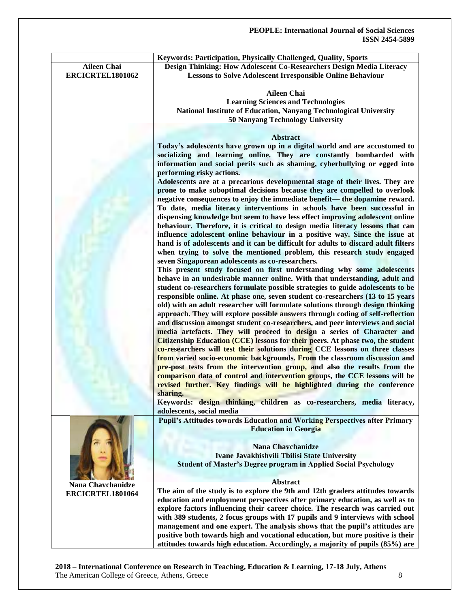|                          | Keywords: Participation, Physically Challenged, Quality, Sports                       |
|--------------------------|---------------------------------------------------------------------------------------|
| <b>Aileen Chai</b>       | Design Thinking: How Adolescent Co-Researchers Design Media Literacy                  |
| ERCICRTEL1801062         | <b>Lessons to Solve Adolescent Irresponsible Online Behaviour</b>                     |
|                          |                                                                                       |
|                          | <b>Aileen Chai</b>                                                                    |
|                          | <b>Learning Sciences and Technologies</b>                                             |
|                          | National Institute of Education, Nanyang Technological University                     |
|                          | <b>50 Nanyang Technology University</b>                                               |
|                          |                                                                                       |
|                          | <b>Abstract</b>                                                                       |
|                          | Today's adolescents have grown up in a digital world and are accustomed to            |
|                          | socializing and learning online. They are constantly bombarded with                   |
|                          | information and social perils such as shaming, cyberbullying or egged into            |
|                          | performing risky actions.                                                             |
|                          |                                                                                       |
|                          | Adolescents are at a precarious developmental stage of their lives. They are          |
|                          | prone to make suboptimal decisions because they are compelled to overlook             |
|                          | negative consequences to enjoy the immediate benefit— the dopamine reward.            |
|                          | To date, media literacy interventions in schools have been successful in              |
|                          | dispensing knowledge but seem to have less effect improving adolescent online         |
|                          | behaviour. Therefore, it is critical to design media literacy lessons that can        |
|                          | influence adolescent online behaviour in a positive way. Since the issue at           |
|                          | hand is of adolescents and it can be difficult for adults to discard adult filters    |
|                          | when trying to solve the mentioned problem, this research study engaged               |
|                          | seven Singaporean adolescents as co-researchers.                                      |
|                          | This present study focused on first understanding why some adolescents                |
|                          | behave in an undesirable manner online. With that understanding, adult and            |
|                          | student co-researchers formulate possible strategies to guide adolescents to be       |
|                          | responsible online. At phase one, seven student co-researchers (13 to 15 years        |
|                          | old) with an adult researcher will formulate solutions through design thinking        |
|                          | approach. They will explore possible answers through coding of self-reflection        |
|                          | and discussion amongst student co-researchers, and peer interviews and social         |
|                          | media artefacts. They will proceed to design a series of Character and                |
|                          |                                                                                       |
|                          | <b>Citizenship Education (CCE) lessons for their peers.</b> At phase two, the student |
|                          | co-researchers will test their solutions during CCE lessons on three classes          |
|                          | from varied socio-economic backgrounds. From the classroom discussion and             |
|                          | pre-post tests from the intervention group, and also the results from the             |
|                          | comparison data of control and intervention groups, the CCE lessons will be           |
|                          | revised further. Key findings will be highlighted during the conference               |
|                          | sharing.                                                                              |
|                          | Keywords: design thinking, children as co-researchers, media literacy,                |
|                          | adolescents, social media                                                             |
|                          | <b>Pupil's Attitudes towards Education and Working Perspectives after Primary</b>     |
|                          | <b>Education in Georgia</b>                                                           |
|                          |                                                                                       |
|                          | <b>Nana Chavchanidze</b>                                                              |
|                          | Ivane Javakhishvili Tbilisi State University                                          |
|                          | <b>Student of Master's Degree program in Applied Social Psychology</b>                |
|                          |                                                                                       |
|                          | <b>Abstract</b>                                                                       |
| <b>Nana Chavchanidze</b> | The aim of the study is to explore the 9th and 12th graders attitudes towards         |
| ERCICRTEL1801064         | education and employment perspectives after primary education, as well as to          |
|                          | explore factors influencing their career choice. The research was carried out         |
|                          | with 389 students, 2 focus groups with 17 pupils and 9 interviews with school         |
|                          |                                                                                       |
|                          | management and one expert. The analysis shows that the pupil's attitudes are          |
|                          | positive both towards high and vocational education, but more positive is their       |
|                          | attitudes towards high education. Accordingly, a majority of pupils (85%) are         |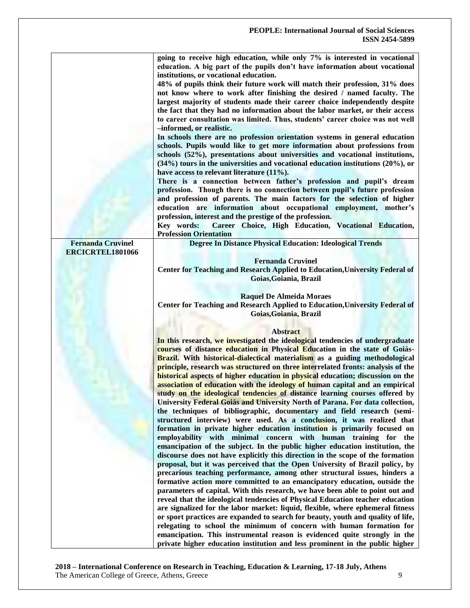|                          | going to receive high education, while only 7% is interested in vocational<br>education. A big part of the pupils don't have information about vocational<br>institutions, or vocational education.<br>48% of pupils think their future work will match their profession, 31% does<br>not know where to work after finishing the desired / named faculty. The<br>largest majority of students made their career choice independently despite<br>the fact that they had no information about the labor market, or their access<br>to career consultation was limited. Thus, students' career choice was not well<br>-informed, or realistic.<br>In schools there are no profession orientation systems in general education<br>schools. Pupils would like to get more information about professions from<br>schools (52%), presentations about universities and vocational institutions, |
|--------------------------|-----------------------------------------------------------------------------------------------------------------------------------------------------------------------------------------------------------------------------------------------------------------------------------------------------------------------------------------------------------------------------------------------------------------------------------------------------------------------------------------------------------------------------------------------------------------------------------------------------------------------------------------------------------------------------------------------------------------------------------------------------------------------------------------------------------------------------------------------------------------------------------------|
|                          | $(34%)$ tours in the universities and vocational education institutions $(20%),$ or<br>have access to relevant literature $(11\%)$ .                                                                                                                                                                                                                                                                                                                                                                                                                                                                                                                                                                                                                                                                                                                                                    |
|                          | There is a connection between father's profession and pupil's dream<br>profession. Though there is no connection between pupil's future profession<br>and profession of parents. The main factors for the selection of higher<br>education are information about occupational employment, mother's                                                                                                                                                                                                                                                                                                                                                                                                                                                                                                                                                                                      |
|                          | profession, interest and the prestige of the profession.<br>Key words:<br>Career Choice, High Education, Vocational Education,                                                                                                                                                                                                                                                                                                                                                                                                                                                                                                                                                                                                                                                                                                                                                          |
| <b>Fernanda Cruvinel</b> | <b>Profession Orientation</b><br><b>Degree In Distance Physical Education: Ideological Trends</b>                                                                                                                                                                                                                                                                                                                                                                                                                                                                                                                                                                                                                                                                                                                                                                                       |
| ERCICRTEL1801066         | <b>Fernanda Cruvinel</b><br>Center for Teaching and Research Applied to Education, University Federal of<br>Goias, Goiania, Brazil                                                                                                                                                                                                                                                                                                                                                                                                                                                                                                                                                                                                                                                                                                                                                      |
|                          | <b>Raquel De Almeida Moraes</b><br>Center for Teaching and Research Applied to Education, University Federal of<br>Goias, Goiania, Brazil                                                                                                                                                                                                                                                                                                                                                                                                                                                                                                                                                                                                                                                                                                                                               |
|                          | <b>Abstract</b><br>In this research, we investigated the ideological tendencies of undergraduate<br>courses of distance education in Physical Education in the state of Goiás-<br><b>Brazil.</b> With historical-dialectical materialism as a guiding methodological<br>principle, research was structured on three interrelated fronts: analysis of the<br>historical aspects of higher education in physical education; discussion on the<br>association of education with the ideology of human capital and an empirical<br>study on the ideological tendencies of distance learning courses offered by<br>University Federal Goiás and University North of Parana. For data collection,                                                                                                                                                                                             |
|                          | the techniques of bibliographic, documentary and field research (semi-<br>structured interview) were used. As a conclusion, it was realized that<br>formation in private higher education institution is primarily focused on<br>employability with minimal concern with human training for the<br>emancipation of the subject. In the public higher education institution, the<br>discourse does not have explicitly this direction in the scope of the formation<br>proposal, but it was perceived that the Open University of Brazil policy, by                                                                                                                                                                                                                                                                                                                                      |
|                          | precarious teaching performance, among other structural issues, hinders a<br>formative action more committed to an emancipatory education, outside the<br>parameters of capital. With this research, we have been able to point out and<br>reveal that the ideological tendencies of Physical Education teacher education<br>are signalized for the labor market: liquid, flexible, where ephemeral fitness<br>or sport practices are expanded to search for beauty, youth and quality of life,<br>relegating to school the minimum of concern with human formation for<br>emancipation. This instrumental reason is evidenced quite strongly in the<br>private higher education institution and less prominent in the public higher                                                                                                                                                    |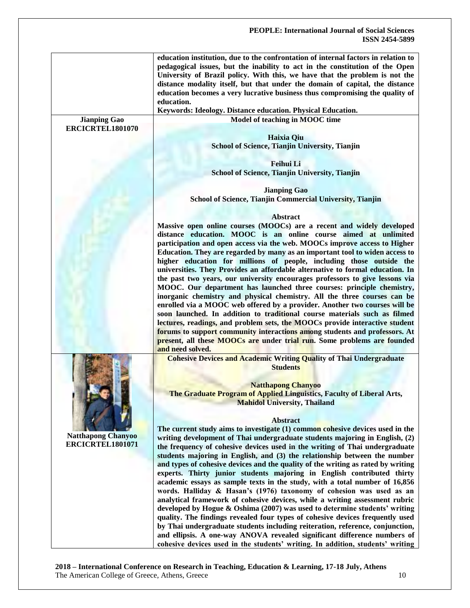| education institution, due to the confrontation of internal factors in relation to |
|------------------------------------------------------------------------------------|
| pedagogical issues, but the inability to act in the constitution of the Open       |
| University of Brazil policy. With this, we have that the problem is not the        |
| distance modality itself, but that under the domain of capital, the distance       |
| education becomes a very lucrative business thus compromising the quality of       |
| education.                                                                         |

**Keywords: Ideology. Distance education. Physical Education.**

**Jianping Gao ERCICRTEL1801070** **Model of teaching in MOOC time**

**Haixia Qiu School of Science, Tianjin University, Tianjin**

**Feihui Li School of Science, Tianjin University, Tianjin**

**Jianping Gao School of Science, Tianjin Commercial University, Tianjin**

#### **Abstract**

**Massive open online courses (MOOCs) are a recent and widely developed distance education. MOOC is an online course aimed at unlimited participation and open access via the web. MOOCs improve access to Higher Education. They are regarded by many as an important tool to widen access to higher education for millions of people, including those outside the universities. They Provides an affordable alternative to formal education. In the past two years, our university encourages professors to give lessons via MOOC. Our department has launched three courses: principle chemistry, inorganic chemistry and physical chemistry. All the three courses can be enrolled via a MOOC web offered by a provider. Another two courses will be soon launched. In addition to traditional course materials such as filmed lectures, readings, and problem sets, the MOOCs provide interactive student forums to support community interactions among students and professors. At present, all these MOOCs are under trial run. Some problems are founded** 

**Cohesive Devices and Academic Writing Quality of Thai Undergraduate Students**

**Natthapong Chanyoo The Graduate Program of Applied Linguistics, Faculty of Liberal Arts, Mahidol University, Thailand**

**The current study aims to investigate (1) common cohesive devices used in the writing development of Thai undergraduate students majoring in English, (2) the frequency of cohesive devices used in the writing of Thai undergraduate students majoring in English, and (3) the relationship between the number and types of cohesive devices and the quality of the writing as rated by writing experts. Thirty junior students majoring in English contributed thirty academic essays as sample texts in the study, with a total number of 16,856 words. Halliday & Hasan's (1976) taxonomy of cohesion was used as an analytical framework of cohesive devices, while a writing assessment rubric developed by Hogue & Oshima (2007) was used to determine students' writing quality. The findings revealed four types of cohesive devices frequently used by Thai undergraduate students including reiteration, reference, conjunction, and ellipsis. A one-way ANOVA revealed significant difference numbers of cohesive devices used in the students' writing. In addition, students' writing** 

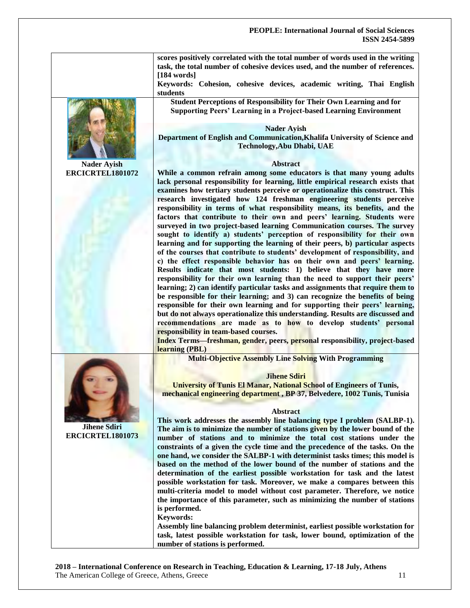|                                         | scores positively correlated with the total number of words used in the writing<br>task, the total number of cohesive devices used, and the number of references.<br>[184 words]                                                                                                                                                                                                                                                                                                                                                                                                                                                                       |
|-----------------------------------------|--------------------------------------------------------------------------------------------------------------------------------------------------------------------------------------------------------------------------------------------------------------------------------------------------------------------------------------------------------------------------------------------------------------------------------------------------------------------------------------------------------------------------------------------------------------------------------------------------------------------------------------------------------|
|                                         | Keywords: Cohesion, cohesive devices, academic writing, Thai English<br>students                                                                                                                                                                                                                                                                                                                                                                                                                                                                                                                                                                       |
|                                         | Student Perceptions of Responsibility for Their Own Learning and for<br><b>Supporting Peers' Learning in a Project-based Learning Environment</b>                                                                                                                                                                                                                                                                                                                                                                                                                                                                                                      |
|                                         | <b>Nader Ayish</b><br>Department of English and Communication, Khalifa University of Science and<br><b>Technology, Abu Dhabi, UAE</b>                                                                                                                                                                                                                                                                                                                                                                                                                                                                                                                  |
| <b>Nader Ayish</b>                      | <b>Abstract</b>                                                                                                                                                                                                                                                                                                                                                                                                                                                                                                                                                                                                                                        |
| ERCICRTEL1801072                        | While a common refrain among some educators is that many young adults<br>lack personal responsibility for learning, little empirical research exists that<br>examines how tertiary students perceive or operationalize this construct. This<br>research investigated how 124 freshman engineering students perceive<br>responsibility in terms of what responsibility means, its benefits, and the<br>factors that contribute to their own and peers' learning. Students were<br>surveyed in two project-based learning Communication courses. The survey<br>sought to identify a) students' perception of responsibility for their own                |
|                                         | learning and for supporting the learning of their peers, b) particular aspects<br>of the courses that contribute to students' development of responsibility, and<br>c) the effect responsible behavior has on their own and peers' learning.<br>Results indicate that most students: 1) believe that they have more<br>responsibility for their own learning than the need to support their peers'<br>learning; 2) can identify particular tasks and assignments that require them to<br>be responsible for their learning; and 3) can recognize the benefits of being<br>responsible for their own learning and for supporting their peers' learning, |
|                                         | but do not always operationalize this understanding. Results are discussed and<br>recommendations are made as to how to develop students' personal<br>responsibility in team-based courses.<br>Index Terms-freshman, gender, peers, personal responsibility, project-based<br>learning (PBL)                                                                                                                                                                                                                                                                                                                                                           |
|                                         | <b>Multi-Objective Assembly Line Solving With Programming</b>                                                                                                                                                                                                                                                                                                                                                                                                                                                                                                                                                                                          |
|                                         | <b>Jihene Sdiri</b><br><b>University of Tunis El Manar, National School of Engineers of Tunis,</b><br>mechanical engineering department, BP 37, Belvedere, 1002 Tunis, Tunisia                                                                                                                                                                                                                                                                                                                                                                                                                                                                         |
|                                         | <b>Abstract</b>                                                                                                                                                                                                                                                                                                                                                                                                                                                                                                                                                                                                                                        |
|                                         | This work addresses the assembly line balancing type I problem (SALBP-1).                                                                                                                                                                                                                                                                                                                                                                                                                                                                                                                                                                              |
| <b>Jihene Sdiri</b><br>ERCICRTEL1801073 | The aim is to minimize the number of stations given by the lower bound of the<br>number of stations and to minimize the total cost stations under the<br>constraints of a given the cycle time and the precedence of the tasks. On the<br>one hand, we consider the SALBP-1 with determinist tasks times; this model is                                                                                                                                                                                                                                                                                                                                |
|                                         | based on the method of the lower bound of the number of stations and the<br>determination of the earliest possible workstation for task and the latest<br>possible workstation for task. Moreover, we make a compares between this                                                                                                                                                                                                                                                                                                                                                                                                                     |
|                                         | multi-criteria model to model without cost parameter. Therefore, we notice<br>the importance of this parameter, such as minimizing the number of stations<br>is performed.                                                                                                                                                                                                                                                                                                                                                                                                                                                                             |
|                                         | <b>Keywords:</b>                                                                                                                                                                                                                                                                                                                                                                                                                                                                                                                                                                                                                                       |
|                                         | Assembly line balancing problem determinist, earliest possible workstation for<br>task, latest possible workstation for task, lower bound, optimization of the<br>number of stations is performed.                                                                                                                                                                                                                                                                                                                                                                                                                                                     |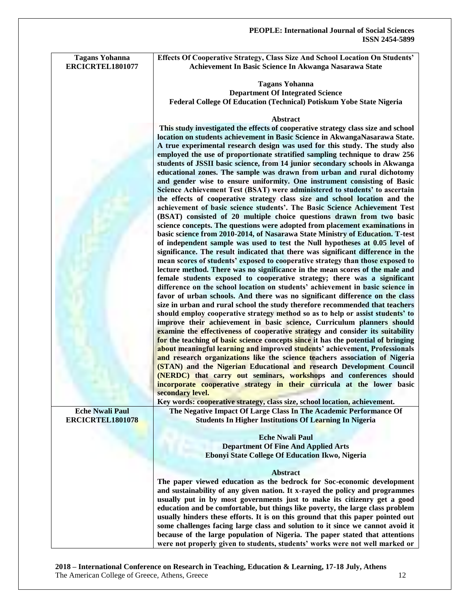| <b>Tagans Yohanna</b>   | Effects Of Cooperative Strategy, Class Size And School Location On Students'                                                                                 |
|-------------------------|--------------------------------------------------------------------------------------------------------------------------------------------------------------|
| ERCICRTEL1801077        | Achievement In Basic Science In Akwanga Nasarawa State                                                                                                       |
|                         |                                                                                                                                                              |
|                         | <b>Tagans Yohanna</b><br><b>Department Of Integrated Science</b>                                                                                             |
|                         | Federal College Of Education (Technical) Potiskum Yobe State Nigeria                                                                                         |
|                         |                                                                                                                                                              |
|                         | Abstract                                                                                                                                                     |
|                         | This study investigated the effects of cooperative strategy class size and school                                                                            |
|                         | location on students achievement in Basic Science in AkwangaNasarawa State.                                                                                  |
|                         | A true experimental research design was used for this study. The study also                                                                                  |
|                         | employed the use of proportionate stratified sampling technique to draw 256                                                                                  |
|                         | students of JSSII basic science, from 14 junior secondary schools in Akwanga                                                                                 |
|                         | educational zones. The sample was drawn from urban and rural dichotomy                                                                                       |
|                         | and gender wise to ensure uniformity. One instrument consisting of Basic                                                                                     |
|                         | Science Achievement Test (BSAT) were administered to students' to ascertain<br>the effects of cooperative strategy class size and school location and the    |
|                         | achievement of basic science students'. The Basic Science Achievement Test                                                                                   |
|                         | (BSAT) consisted of 20 multiple choice questions drawn from two basic                                                                                        |
|                         | science concepts. The questions were adopted from placement examinations in                                                                                  |
|                         | basic science from 2010-2014, of Nasarawa State Ministry of Education. T-test                                                                                |
|                         | of independent sample was used to test the Null hypotheses at 0.05 level of                                                                                  |
|                         | significance. The result indicated that there was significant difference in the                                                                              |
|                         | mean scores of students' exposed to cooperative strategy than those exposed to                                                                               |
|                         | lecture method. There was no significance in the mean scores of the male and                                                                                 |
|                         | female students exposed to cooperative strategy; there was a significant                                                                                     |
|                         | difference on the school location on students' achievement in basic science in                                                                               |
|                         | favor of urban schools. And there was no significant difference on the class<br>size in urban and rural school the study therefore recommended that teachers |
|                         | should employ cooperative strategy method so as to help or assist students' to                                                                               |
|                         | improve their achievement in basic science, Curriculum planners should                                                                                       |
|                         | examine the effectiveness of cooperative strategy and consider its suitability                                                                               |
|                         | for the teaching of basic science concepts since it has the potential of bringing                                                                            |
|                         | about meaningful learning and improved students' achievement, Professionals                                                                                  |
|                         | and research organizations like the science teachers association of Nigeria                                                                                  |
|                         | (STAN) and the Nigerian Educational and research Development Council                                                                                         |
|                         | (NERDC) that carry out seminars, workshops and conferences should                                                                                            |
|                         | incorporate cooperative strategy in their curricula at the lower basic                                                                                       |
|                         | secondary level.<br>Key words: cooperative strategy, class size, school location, achievement.                                                               |
| <b>Eche Nwali Paul</b>  | The Negative Impact Of Large Class In The Academic Performance Of                                                                                            |
| <b>ERCICRTEL1801078</b> | <b>Students In Higher Institutions Of Learning In Nigeria</b>                                                                                                |
|                         |                                                                                                                                                              |
|                         | <b>Eche Nwali Paul</b>                                                                                                                                       |
|                         | <b>Department Of Fine And Applied Arts</b>                                                                                                                   |
|                         | Ebonyi State College Of Education Ikwo, Nigeria                                                                                                              |
|                         |                                                                                                                                                              |
|                         | <b>Abstract</b>                                                                                                                                              |
|                         | The paper viewed education as the bedrock for Soc-economic development                                                                                       |
|                         | and sustainability of any given nation. It x-rayed the policy and programmes<br>usually put in by most governments just to make its citizenry get a good     |
|                         | education and be comfortable, but things like poverty, the large class problem                                                                               |
|                         | usually hinders these efforts. It is on this ground that this paper pointed out                                                                              |
|                         | some challenges facing large class and solution to it since we cannot avoid it                                                                               |
|                         | because of the large population of Nigeria. The paper stated that attentions                                                                                 |
|                         | were not properly given to students, students' works were not well marked or                                                                                 |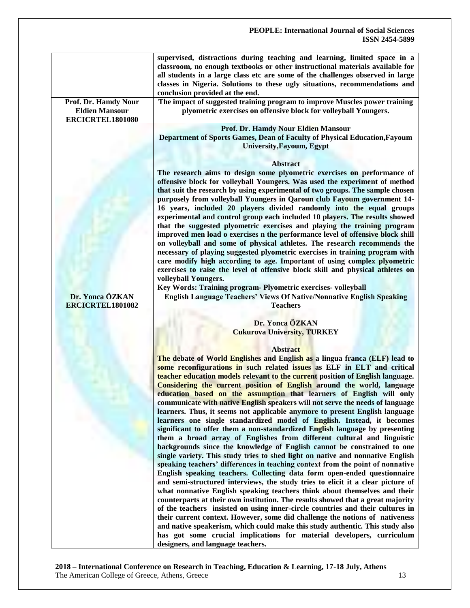|                                                                   | supervised, distractions during teaching and learning, limited space in a<br>classroom, no enough textbooks or other instructional materials available for<br>all students in a large class etc are some of the challenges observed in large<br>classes in Nigeria. Solutions to these ugly situations, recommendations and<br>conclusion provided at the end.                                                |
|-------------------------------------------------------------------|---------------------------------------------------------------------------------------------------------------------------------------------------------------------------------------------------------------------------------------------------------------------------------------------------------------------------------------------------------------------------------------------------------------|
| Prof. Dr. Hamdy Nour<br><b>Eldien Mansour</b><br>ERCICRTEL1801080 | The impact of suggested training program to improve Muscles power training<br>plyometric exercises on offensive block for volleyball Youngers.                                                                                                                                                                                                                                                                |
|                                                                   | Prof. Dr. Hamdy Nour Eldien Mansour<br>Department of Sports Games, Dean of Faculty of Physical Education, Fayoum<br><b>University, Fayoum, Egypt</b>                                                                                                                                                                                                                                                          |
|                                                                   | <b>Abstract</b>                                                                                                                                                                                                                                                                                                                                                                                               |
|                                                                   | The research aims to design some plyometric exercises on performance of<br>offensive block for volleyball Youngers. Was used the experiment of method<br>that suit the research by using experimental of two groups. The sample chosen<br>purposely from volleyball Youngers in Qaroun club Fayoum government 14-<br>16 years, included 20 players divided randomly into the equal groups                     |
|                                                                   | experimental and control group each included 10 players. The results showed<br>that the suggested plyometric exercises and playing the training program                                                                                                                                                                                                                                                       |
|                                                                   | improved men load o exercises n the performance level of offensive block shill                                                                                                                                                                                                                                                                                                                                |
|                                                                   | on volleyball and some of physical athletes. The research recommends the                                                                                                                                                                                                                                                                                                                                      |
|                                                                   | necessary of playing suggested plyometric exercises in training program with<br>care modify high according to age. Important of using complex plyometric<br>exercises to raise the level of offensive block skill and physical athletes on                                                                                                                                                                    |
|                                                                   | volleyball Youngers.                                                                                                                                                                                                                                                                                                                                                                                          |
|                                                                   | Key Words: Training program- Plyometric exercises- volleyball                                                                                                                                                                                                                                                                                                                                                 |
| Dr. Yonca ÖZKAN<br>ERCICRTEL1801082                               | <b>English Language Teachers' Views Of Native/Nonnative English Speaking</b><br><b>Teachers</b>                                                                                                                                                                                                                                                                                                               |
|                                                                   | Dr. Yonca ÖZKAN                                                                                                                                                                                                                                                                                                                                                                                               |
|                                                                   | <b>Cukurova University, TURKEY</b>                                                                                                                                                                                                                                                                                                                                                                            |
|                                                                   |                                                                                                                                                                                                                                                                                                                                                                                                               |
|                                                                   | <b>Abstract</b>                                                                                                                                                                                                                                                                                                                                                                                               |
|                                                                   | The debate of World Englishes and English as a lingua franca (ELF) lead to<br>some reconfigurations in such related issues as ELF in ELT and critical<br>teacher education models relevant to the current position of English language.<br>Considering the current position of English around the world, language                                                                                             |
|                                                                   | education based on the assumption that learners of English will only<br>communicate with native English speakers will not serve the needs of language                                                                                                                                                                                                                                                         |
|                                                                   | learners. Thus, it seems not applicable anymore to present English language<br>learners one single standardized model of English. Instead, it becomes                                                                                                                                                                                                                                                         |
|                                                                   | significant to offer them a non-standardized English language by presenting<br>them a broad array of Englishes from different cultural and linguistic<br>backgrounds since the knowledge of English cannot be constrained to one<br>single variety. This study tries to shed light on native and nonnative English                                                                                            |
|                                                                   | speaking teachers' differences in teaching context from the point of nonnative                                                                                                                                                                                                                                                                                                                                |
|                                                                   | English speaking teachers. Collecting data form open-ended questionnaire<br>and semi-structured interviews, the study tries to elicit it a clear picture of<br>what nonnative English speaking teachers think about themselves and their<br>counterparts at their own institution. The results showed that a great majority<br>of the teachers insisted on using inner-circle countries and their cultures in |
|                                                                   | their current context. However, some did challenge the notions of nativeness<br>and native speakerism, which could make this study authentic. This study also<br>has got some crucial implications for material developers, curriculum<br>designers, and language teachers.                                                                                                                                   |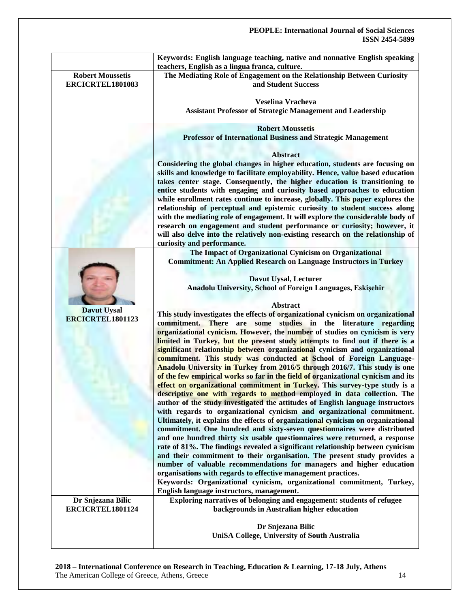|                                               | Keywords: English language teaching, native and nonnative English speaking<br>teachers, English as a lingua franca, culture. |
|-----------------------------------------------|------------------------------------------------------------------------------------------------------------------------------|
| <b>Robert Moussetis</b><br>ERCICRTEL1801083   | The Mediating Role of Engagement on the Relationship Between Curiosity<br>and Student Success                                |
|                                               | <b>Veselina Vracheva</b>                                                                                                     |
|                                               | <b>Assistant Professor of Strategic Management and Leadership</b>                                                            |
|                                               |                                                                                                                              |
|                                               | <b>Robert Moussetis</b>                                                                                                      |
|                                               | <b>Professor of International Business and Strategic Management</b>                                                          |
|                                               | <b>Abstract</b>                                                                                                              |
|                                               | Considering the global changes in higher education, students are focusing on                                                 |
|                                               | skills and knowledge to facilitate employability. Hence, value based education                                               |
|                                               | takes center stage. Consequently, the higher education is transitioning to                                                   |
|                                               | entice students with engaging and curiosity based approaches to education                                                    |
|                                               | while enrollment rates continue to increase, globally. This paper explores the                                               |
|                                               | relationship of perceptual and epistemic curiosity to student success along                                                  |
|                                               | with the mediating role of engagement. It will explore the considerable body of                                              |
|                                               | research on engagement and student performance or curiosity; however, it                                                     |
|                                               | will also delve into the relatively non-existing research on the relationship of                                             |
|                                               | curiosity and performance.                                                                                                   |
|                                               | The Impact of Organizational Cynicism on Organizational                                                                      |
|                                               | <b>Commitment: An Applied Research on Language Instructors in Turkey</b>                                                     |
|                                               | Davut Uysal, Lecturer                                                                                                        |
|                                               | Anadolu University, School of Foreign Languages, Eskişehir                                                                   |
|                                               |                                                                                                                              |
|                                               | Abstract                                                                                                                     |
| <b>Davut Uysal</b><br><b>ERCICRTEL1801123</b> | This study investigates the effects of organizational cynicism on organizational                                             |
|                                               | are some studies in the literature regarding<br>commitment.<br><b>There</b>                                                  |
|                                               | organizational cynicism. However, the number of studies on cynicism is very                                                  |
|                                               | limited in Turkey, but the present study attempts to find out if there is a                                                  |
|                                               | significant relationship between organizational cynicism and organizational                                                  |
|                                               | commitment. This study was conducted at School of Foreign Language-                                                          |
|                                               | Anadolu University in Turkey from 2016/5 through 2016/7. This study is one                                                   |
|                                               | of the few empirical works so far in the field of organizational cynicism and its                                            |
|                                               | effect on organizational commitment in Turkey. This survey-type study is a                                                   |
|                                               | descriptive one with regards to method employed in data collection. The                                                      |
|                                               | author of the study investigated the attitudes of English language instructors                                               |
|                                               | with regards to organizational cynicism and organizational commitment.                                                       |
|                                               | Ultimately, it explains the effects of organizational cynicism on organizational                                             |
|                                               | commitment. One hundred and sixty-seven questionnaires were distributed                                                      |
|                                               | and one hundred thirty six usable questionnaires were returned, a response                                                   |
|                                               | rate of 81%. The findings revealed a significant relationship between cynicism                                               |
|                                               | and their commitment to their organisation. The present study provides a                                                     |
|                                               | number of valuable recommendations for managers and higher education                                                         |
|                                               | organisations with regards to effective management practices.                                                                |
|                                               | Keywords: Organizational cynicism, organizational commitment, Turkey,                                                        |
|                                               | English language instructors, management.<br>Exploring narratives of belonging and engagement: students of refugee           |
| Dr Snjezana Bilic<br>ERCICRTEL1801124         | backgrounds in Australian higher education                                                                                   |
|                                               |                                                                                                                              |
|                                               | Dr Snjezana Bilic                                                                                                            |
|                                               | UniSA College, University of South Australia                                                                                 |
|                                               |                                                                                                                              |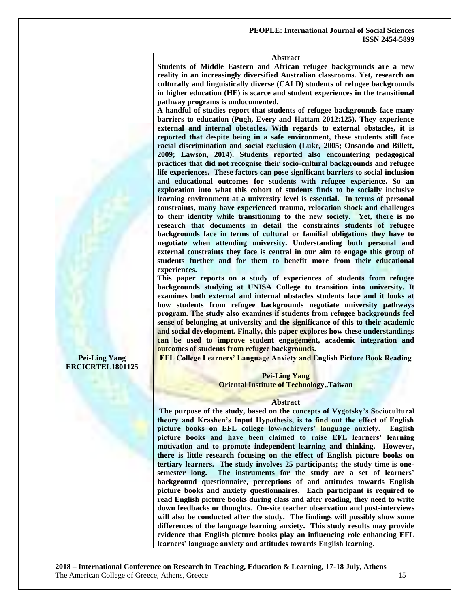#### **Abstract**

**Students of Middle Eastern and African refugee backgrounds are a new reality in an increasingly diversified Australian classrooms. Yet, research on culturally and linguistically diverse (CALD) students of refugee backgrounds in higher education (HE) is scarce and student experiences in the transitional pathway programs is undocumented.** 

**A handful of studies report that students of refugee backgrounds face many barriers to education (Pugh, Every and Hattam 2012:125). They experience external and internal obstacles. With regards to external obstacles, it is reported that despite being in a safe environment, these students still face racial discrimination and social exclusion (Luke, 2005; Onsando and Billett, 2009; Lawson, 2014). Students reported also encountering pedagogical practices that did not recognise their socio-cultural backgrounds and refugee life experiences. These factors can pose significant barriers to social inclusion and educational outcomes for students with refugee experience. So an exploration into what this cohort of students finds to be socially inclusive learning environment at a university level is essential. In terms of personal constraints, many have experienced trauma, relocation shock and challenges to their identity while transitioning to the new society. Yet, there is no research that documents in detail the constraints students of refugee backgrounds face in terms of cultural or familial obligations they have to negotiate when attending university. Understanding both personal and external constraints they face is central in our aim to engage this group of students further and for them to benefit more from their educational experiences.** 

**This paper reports on a study of experiences of students from refugee backgrounds studying at UNISA College to transition into university. It examines both external and internal obstacles students face and it looks at how students from refugee backgrounds negotiate university pathways program. The study also examines if students from refugee backgrounds feel sense of belonging at university and the significance of this to their academic and social development. Finally, this paper explores how these understandings can be used to improve student engagement, academic integration and outcomes of students from refugee backgrounds.**

**Pei-Ling Yang ERCICRTEL1801125** **EFL College Learners' Language Anxiety and English Picture Book Reading**

#### **Pei-Ling Yang Oriental Institute of Technology,,Taiwan**

#### **Abstract**

**The purpose of the study, based on the concepts of Vygotsky's Sociocultural theory and Krashen's Input Hypothesis, is to find out the effect of English picture books on EFL college low-achievers' language anxiety. English picture books and have been claimed to raise EFL learners' learning motivation and to promote independent learning and thinking. However, there is little research focusing on the effect of English picture books on tertiary learners. The study involves 25 participants; the study time is onesemester long. The instruments for the study are a set of learners' background questionnaire, perceptions of and attitudes towards English picture books and anxiety questionnaires. Each participant is required to read English picture books during class and after reading, they need to write down feedbacks or thoughts. On-site teacher observation and post-interviews will also be conducted after the study. The findings will possibly show some differences of the language learning anxiety. This study results may provide evidence that English picture books play an influencing role enhancing EFL learners' language anxiety and attitudes towards English learning.**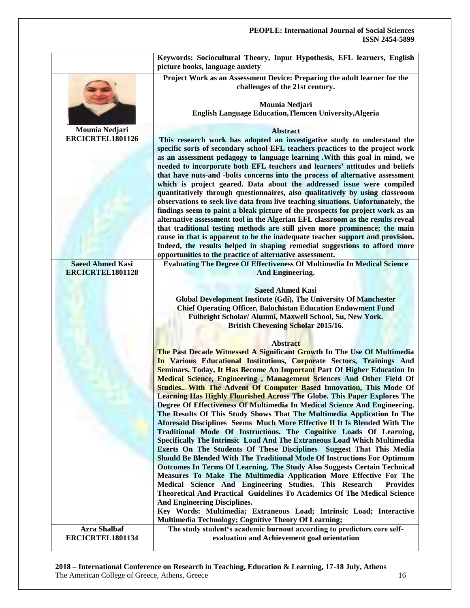|                                             | Keywords: Sociocultural Theory, Input Hypothesis, EFL learners, English<br>picture books, language anxiety                                                                                                                                                                                                                                                                                                                                                                                                                                                                |
|---------------------------------------------|---------------------------------------------------------------------------------------------------------------------------------------------------------------------------------------------------------------------------------------------------------------------------------------------------------------------------------------------------------------------------------------------------------------------------------------------------------------------------------------------------------------------------------------------------------------------------|
|                                             | Project Work as an Assessment Device: Preparing the adult learner for the<br>challenges of the 21st century.                                                                                                                                                                                                                                                                                                                                                                                                                                                              |
|                                             | Mounia Nedjari                                                                                                                                                                                                                                                                                                                                                                                                                                                                                                                                                            |
|                                             | English Language Education, Tlemcen University, Algeria                                                                                                                                                                                                                                                                                                                                                                                                                                                                                                                   |
| Mounia Nedjari                              | <b>Abstract</b>                                                                                                                                                                                                                                                                                                                                                                                                                                                                                                                                                           |
| ERCICRTEL1801126                            | This research work has adopted an investigative study to understand the                                                                                                                                                                                                                                                                                                                                                                                                                                                                                                   |
|                                             | specific sorts of secondary school EFL teachers practices to the project work<br>as an assessment pedagogy to language learning . With this goal in mind, we<br>needed to incorporate both EFL teachers and learners' attitudes and beliefs<br>that have nuts-and -bolts concerns into the process of alternative assessment<br>which is project geared. Data about the addressed issue were compiled<br>quantitatively through questionnaires, also qualitatively by using classroom<br>observations to seek live data from live teaching situations. Unfortunately, the |
|                                             | findings seem to paint a bleak picture of the prospects for project work as an                                                                                                                                                                                                                                                                                                                                                                                                                                                                                            |
|                                             | alternative assessment tool in the Algerian EFL classroom as the results reveal                                                                                                                                                                                                                                                                                                                                                                                                                                                                                           |
|                                             | that traditional testing methods are still given more prominence; the main                                                                                                                                                                                                                                                                                                                                                                                                                                                                                                |
|                                             | cause in that is apparent to be the inadequate teacher support and provision.                                                                                                                                                                                                                                                                                                                                                                                                                                                                                             |
|                                             | Indeed, the results helped in shaping remedial suggestions to afford more                                                                                                                                                                                                                                                                                                                                                                                                                                                                                                 |
|                                             | opportunities to the practice of alternative assessment.                                                                                                                                                                                                                                                                                                                                                                                                                                                                                                                  |
| <b>Saeed Ahmed Kasi</b><br>ERCICRTEL1801128 | <b>Evaluating The Degree Of Effectiveness Of Multimedia In Medical Science</b>                                                                                                                                                                                                                                                                                                                                                                                                                                                                                            |
|                                             | <b>And Engineering.</b>                                                                                                                                                                                                                                                                                                                                                                                                                                                                                                                                                   |
|                                             | <b>Saeed Ahmed Kasi</b>                                                                                                                                                                                                                                                                                                                                                                                                                                                                                                                                                   |
|                                             | Global Development Institute (Gdi), The University Of Manchester                                                                                                                                                                                                                                                                                                                                                                                                                                                                                                          |
|                                             | <b>Chief Operating Officer, Balochistan Education Endowment Fund</b>                                                                                                                                                                                                                                                                                                                                                                                                                                                                                                      |
|                                             | Fulbright Scholar/ Alumni, Maxwell School, Su, New York.                                                                                                                                                                                                                                                                                                                                                                                                                                                                                                                  |
|                                             | <b>British Chevening Scholar 2015/16.</b>                                                                                                                                                                                                                                                                                                                                                                                                                                                                                                                                 |
|                                             | <b>Abstract</b>                                                                                                                                                                                                                                                                                                                                                                                                                                                                                                                                                           |
|                                             | The Past Decade Witnessed A Significant Growth In The Use Of Multimedia                                                                                                                                                                                                                                                                                                                                                                                                                                                                                                   |
|                                             | In Various Educational Institutions, Corporate Sectors, Trainings And                                                                                                                                                                                                                                                                                                                                                                                                                                                                                                     |
|                                             | Seminars. Today, It Has Become An Important Part Of Higher Education In                                                                                                                                                                                                                                                                                                                                                                                                                                                                                                   |
|                                             | Medical Science, Engineering, Management Sciences And Other Field Of                                                                                                                                                                                                                                                                                                                                                                                                                                                                                                      |
|                                             | Studies With The Advent Of Computer Based Innovation, This Mode Of                                                                                                                                                                                                                                                                                                                                                                                                                                                                                                        |
|                                             | Learning Has Highly Flourished Across The Globe. This Paper Explores The                                                                                                                                                                                                                                                                                                                                                                                                                                                                                                  |
|                                             | Degree Of Effectiveness Of Multimedia In Medical Science And Engineering.<br>The Results Of This Study Shows That The Multimedia Application In The                                                                                                                                                                                                                                                                                                                                                                                                                       |
|                                             | Aforesaid Disciplines Seems Much More Effective If It Is Blended With The                                                                                                                                                                                                                                                                                                                                                                                                                                                                                                 |
|                                             | Traditional Mode Of Instructions. The Cognitive Loads Of Learning,                                                                                                                                                                                                                                                                                                                                                                                                                                                                                                        |
|                                             | Specifically The Intrinsic Load And The Extraneous Load Which Multimedia                                                                                                                                                                                                                                                                                                                                                                                                                                                                                                  |
|                                             | Exerts On The Students Of These Disciplines Suggest That This Media                                                                                                                                                                                                                                                                                                                                                                                                                                                                                                       |
|                                             | Should Be Blended With The Traditional Mode Of Instructions For Optimum                                                                                                                                                                                                                                                                                                                                                                                                                                                                                                   |
|                                             | Outcomes In Terms Of Learning. The Study Also Suggests Certain Technical                                                                                                                                                                                                                                                                                                                                                                                                                                                                                                  |
|                                             | Measures To Make The Multimedia Application More Effective For The<br>Medical Science And Engineering Studies. This Research<br><b>Provides</b>                                                                                                                                                                                                                                                                                                                                                                                                                           |
|                                             | Theoretical And Practical Guidelines To Academics Of The Medical Science                                                                                                                                                                                                                                                                                                                                                                                                                                                                                                  |
|                                             | <b>And Engineering Disciplines.</b>                                                                                                                                                                                                                                                                                                                                                                                                                                                                                                                                       |
|                                             | Key Words: Multimedia; Extraneous Load; Intrinsic Load; Interactive                                                                                                                                                                                                                                                                                                                                                                                                                                                                                                       |
|                                             | Multimedia Technology; Cognitive Theory Of Learning;                                                                                                                                                                                                                                                                                                                                                                                                                                                                                                                      |
| <b>Azra Shalbaf</b>                         | The study student's academic burnout according to predictors core self-                                                                                                                                                                                                                                                                                                                                                                                                                                                                                                   |
| ERCICRTEL1801134                            | evaluation and Achievement goal orientation                                                                                                                                                                                                                                                                                                                                                                                                                                                                                                                               |

**2018 – International Conference on Research in Teaching, Education & Learning, 17-18 July, Athens** The American College of Greece, Athens, Greece 16. 1992. The American College of Greece, Athens, Greece 16. 1992.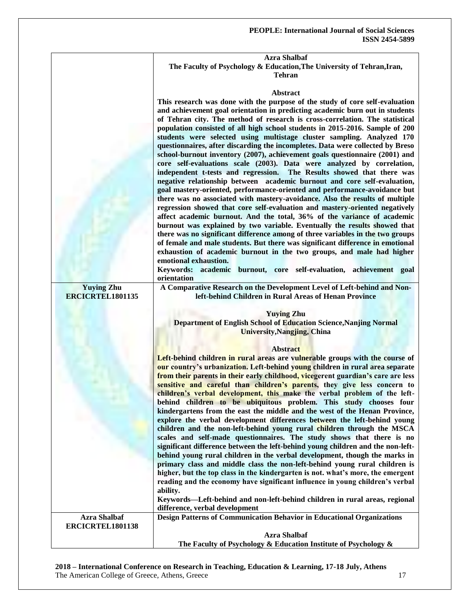#### **Azra Shalbaf The Faculty of Psychology & Education,The University of Tehran,Iran, Tehran**

|                                       | <b>Abstract</b>                                                                                                                                                                                                                                   |
|---------------------------------------|---------------------------------------------------------------------------------------------------------------------------------------------------------------------------------------------------------------------------------------------------|
|                                       | This research was done with the purpose of the study of core self-evaluation<br>and achievement goal orientation in predicting academic burn out in students<br>of Tehran city. The method of research is cross-correlation. The statistical      |
|                                       | population consisted of all high school students in 2015-2016. Sample of 200<br>students were selected using multistage cluster sampling. Analyzed 170<br>questionnaires, after discarding the incompletes. Data were collected by Breso          |
|                                       | school-burnout inventory (2007), achievement goals questionnaire (2001) and<br>core self-evaluations scale (2003). Data were analyzed by correlation,<br>independent t-tests and regression. The Results showed that there was                    |
|                                       | negative relationship between academic burnout and core self-evaluation,<br>goal mastery-oriented, performance-oriented and performance-avoidance but<br>there was no associated with mastery-avoidance. Also the results of multiple             |
|                                       | regression showed that core self-evaluation and mastery-oriented negatively<br>affect academic burnout. And the total, 36% of the variance of academic<br>burnout was explained by two variable. Eventually the results showed that               |
|                                       | there was no significant difference among of three variables in the two groups<br>of female and male students. But there was significant difference in emotional<br>exhaustion of academic burnout in the two groups, and male had higher         |
|                                       | emotional exhaustion.<br>Keywords: academic burnout, core self-evaluation, achievement goal<br>orientation                                                                                                                                        |
| <b>Yuying Zhu</b><br>ERCICRTEL1801135 | A Comparative Research on the Development Level of Left-behind and Non-<br>left-behind Children in Rural Areas of Henan Province                                                                                                                  |
|                                       | <b>Yuying Zhu</b>                                                                                                                                                                                                                                 |
|                                       | Department of English School of Education Science, Nanjing Normal<br><b>University, Nangjing, China</b>                                                                                                                                           |
|                                       | <b>Abstract</b>                                                                                                                                                                                                                                   |
|                                       | Left-behind children in rural areas are vulnerable groups with the course of<br>our country's urbanization. Left-behind young children in rural area separate<br>from their parents in their early childhood, vicegerent guardian's care are less |
|                                       | sensitive and careful than children's parents, they give less concern to<br>children's verbal development, this make the verbal problem of the left-                                                                                              |
|                                       | behind children to be ubiquitous problem. This study chooses four                                                                                                                                                                                 |
|                                       | kindergartens from the east the middle and the west of the Henan Province,<br>explore the verbal development differences between the left-behind young                                                                                            |
|                                       | children and the non-left-behind young rural children through the MSCA<br>scales and self-made questionnaires. The study shows that there is no                                                                                                   |
|                                       | significant difference between the left-behind young children and the non-left-                                                                                                                                                                   |
|                                       | behind young rural children in the verbal development, though the marks in<br>primary class and middle class the non-left-behind young rural children is                                                                                          |
|                                       | higher, but the top class in the kindergarten is not. what's more, the emergent<br>reading and the economy have significant influence in young children's verbal                                                                                  |
|                                       | ability.                                                                                                                                                                                                                                          |
|                                       | Keywords—Left-behind and non-left-behind children in rural areas, regional<br>difference, verbal development                                                                                                                                      |
| <b>Azra Shalbaf</b>                   | <b>Design Patterns of Communication Behavior in Educational Organizations</b>                                                                                                                                                                     |
| ERCICRTEL1801138                      | <b>Azra Shalbaf</b>                                                                                                                                                                                                                               |
|                                       | The Faculty of Psychology & Education Institute of Psychology &                                                                                                                                                                                   |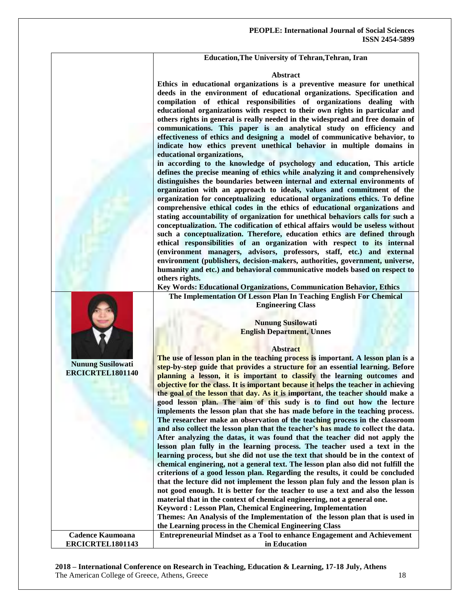#### **Education,The University of Tehran,Tehran, Iran**

#### **Abstract**

**Ethics in educational organizations is a preventive measure for unethical deeds in the environment of educational organizations. Specification and compilation of ethical responsibilities of organizations dealing with educational organizations with respect to their own rights in particular and others rights in general is really needed in the widespread and free domain of communications. This paper is an analytical study on efficiency and effectiveness of ethics and designing a model of communicative behavior, to indicate how ethics prevent unethical behavior in multiple domains in educational organizations,**

**in according to the knowledge of psychology and education, This article defines the precise meaning of ethics while analyzing it and comprehensively distinguishes the boundaries between internal and external environments of organization with an approach to ideals, values and commitment of the organization for conceptualizing educational organizations ethics. To define comprehensive ethical codes in the ethics of educational organizations and stating accountability of organization for unethical behaviors calls for such a conceptualization. The codification of ethical affairs would be useless without such a conceptualization. Therefore, education ethics are defined through ethical responsibilities of an organization with respect to its internal (environment managers, advisors, professors, staff, etc.) and external environment (publishers, decision-makers, authorities, government, universe, humanity and etc.) and behavioral communicative models based on respect to others rights.** 

**Key Words: Educational Organizations, Communication Behavior, Ethics**

**The Implementation Of Lesson Plan In Teaching English For Chemical Engineering Class**

> **Nunung Susilowati English Department, Unnes**

#### **Abstract**

**Nunung Susilowati ERCICRTEL1801140 The use of lesson plan in the teaching process is important. A lesson plan is a step-by-step guide that provides a structure for an essential learning. Before planning a lesson, it is important to classify the learning outcomes and objective for the class. It is important because it helps the teacher in achieving the goal of the lesson that day. As it is important, the teacher should make a good lesson plan. The aim of this sudy is to find out how the lecture implements the lesson plan that she has made before in the teaching process. The researcher make an observation of the teaching process in the classroom and also collect the lesson plan that the teacher's has made to collect the data. After analyzing the datas, it was found that the teacher did not apply the lesson plan fully in the learning process. The teacher used a text in the learning process, but she did not use the text that should be in the context of chemical enginering, not a general text. The lesson plan also did not fulfill the criterions of a good lesson plan. Regarding the results, it could be concluded that the lecture did not implement the lesson plan fuly and the lesson plan is not good enough. It is better for the teacher to use a text and also the lesson material that in the context of chemical engineering, not a general one. Keyword : Lesson Plan, Chemical Engineering, Implementation Themes: An Analysis of the Implementation of the lesson plan that is used in the Learning process in the Chemical Engineering Class Cadence Kaumoana ERCICRTEL1801143 Entrepreneurial Mindset as a Tool to enhance Engagement and Achievement in Education**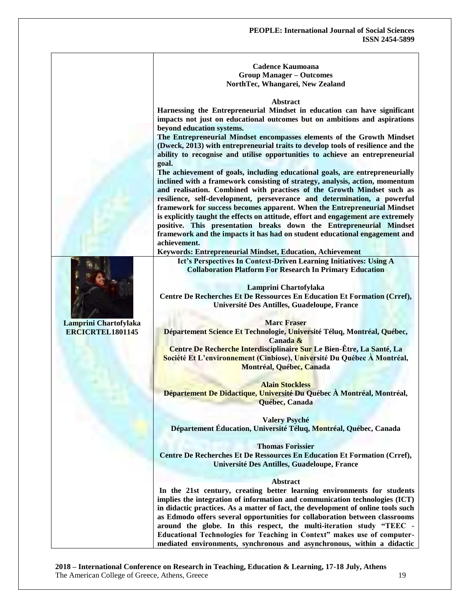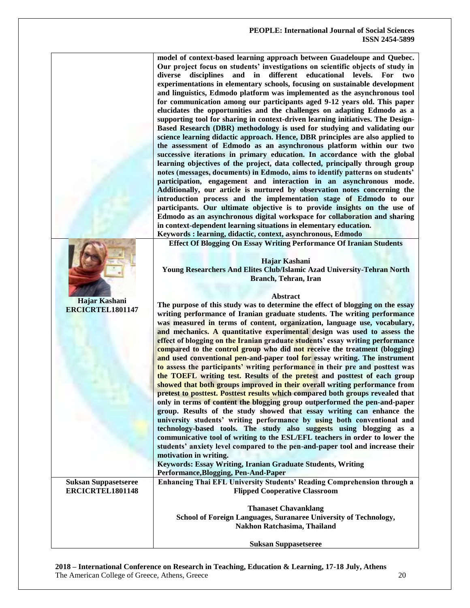| model of context-based learning approach between Guadeloupe and Quebec.         |
|---------------------------------------------------------------------------------|
| Our project focus on students' investigations on scientific objects of study in |
| diverse disciplines and in different educational levels. For two                |
| experimentations in elementary schools, focusing on sustainable development     |
| and linguistics, Edmodo platform was implemented as the asynchronous tool       |
| for communication among our participants aged 9-12 years old. This paper        |
| elucidates the opportunities and the challenges on adapting Edmodo as a         |
| supporting tool for sharing in context-driven learning initiatives. The Design- |
| Based Research (DBR) methodology is used for studying and validating our        |
| science learning didactic approach. Hence, DBR principles are also applied to   |
| the assessment of Edmodo as an asynchronous platform within our two             |
| successive iterations in primary education. In accordance with the global       |
| learning objectives of the project, data collected, principally through group   |
| notes (messages, documents) in Edmodo, aims to identify patterns on students'   |
| participation, engagement and interaction in an asynchronous mode.              |
| Additionally, our article is nurtured by observation notes concerning the       |
| introduction process and the implementation stage of Edmodo to our              |
| participants. Our ultimate objective is to provide insights on the use of       |
| Edmodo as an asynchronous digital workspace for collaboration and sharing       |
| in context-dependent learning situations in elementary education.               |
| Kaywords Learning didactic context asynchronous Edmodo                          |

**Keywords : learning, didactic, context, asynchronous, Edmodo Effect Of Blogging On Essay Writing Performance Of Iranian Students**

**Hajar Kashani Young Researchers And Elites Club/Islamic Azad University-Tehran North Branch, Tehran, Iran**

#### **Abstract**

**Hajar Kashani ERCICRTEL1801147 The purpose of this study was to determine the effect of blogging on the essay writing performance of Iranian graduate students. The writing performance was measured in terms of content, organization, language use, vocabulary, and mechanics. A quantitative experimental design was used to assess the effect of blogging on the Iranian graduate students' essay writing performance compared to the control group who did not receive the treatment (blogging) and used conventional pen-and-paper tool for essay writing. The instrument to assess the participants' writing performance in their pre and posttest was the TOEFL writing test. Results of the pretest and posttest of each group showed that both groups improved in their overall writing performance from pretest to posttest. Posttest results which compared both groups revealed that only in terms of content the blogging group outperformed the pen-and-paper group. Results of the study showed that essay writing can enhance the university students' writing performance by using both conventional and technology-based tools. The study also suggests using blogging as a communicative tool of writing to the ESL/EFL teachers in order to lower the students' anxiety level compared to the pen-and-paper tool and increase their motivation in writing. Keywords: Essay Writing, Iranian Graduate Students, Writing Performance,Blogging, Pen-And-Paper Suksan Suppasetseree ERCICRTEL1801148 Enhancing Thai EFL University Students' Reading Comprehension through a Flipped Cooperative Classroom Thanaset Chavanklang School of Foreign Languages, Suranaree University of Technology, Nakhon Ratchasima, Thailand Suksan Suppasetseree**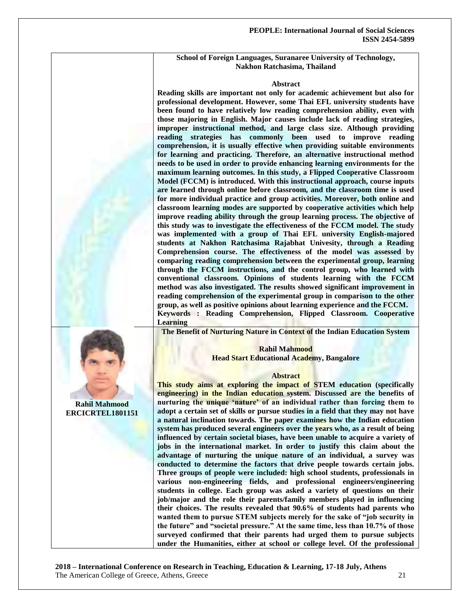#### **School of Foreign Languages, Suranaree University of Technology, Nakhon Ratchasima, Thailand**

#### **Abstract**

**Reading skills are important not only for academic achievement but also for professional development. However, some Thai EFL university students have been found to have relatively low reading comprehension ability, even with those majoring in English. Major causes include lack of reading strategies, improper instructional method, and large class size. Although providing reading strategies has commonly been used to improve reading comprehension, it is usually effective when providing suitable environments for learning and practicing. Therefore, an alternative instructional method needs to be used in order to provide enhancing learning environments for the maximum learning outcomes. In this study, a Flipped Cooperative Classroom Model (FCCM) is introduced. With this instructional approach, course inputs are learned through online before classroom, and the classroom time is used for more individual practice and group activities. Moreover, both online and classroom learning modes are supported by cooperative activities which help improve reading ability through the group learning process. The objective of this study was to investigate the effectiveness of the FCCM model. The study was implemented with a group of Thai EFL university English-majored students at Nakhon Ratchasima Rajabhat Univesity, through a Reading Comprehension course. The effectiveness of the model was assessed by comparing reading comprehension between the experimental group, learning through the FCCM instructions, and the control group, who learned with conventional classroom. Opinions of students learning with the FCCM method was also investigated. The results showed significant improvement in reading comprehension of the experimental group in comparison to the other group, as well as positive opinions about learning experience and the FCCM. Keywords : Reading Comprehension, Flipped Classroom. Cooperative Learning**

**The Benefit of Nurturing Nature in Context of the Indian Education System**

#### **Rahil Mahmood Head Start Educational Academy, Bangalore**

#### **Abstract**

**This study aims at exploring the impact of STEM education (specifically engineering) in the Indian education system. Discussed are the benefits of nurturing the unique 'nature' of an individual rather than forcing them to adopt a certain set of skills or pursue studies in a field that they may not have a natural inclination towards. The paper examines how the Indian education system has produced several engineers over the years who, as a result of being influenced by certain societal biases, have been unable to acquire a variety of jobs in the international market. In order to justify this claim about the advantage of nurturing the unique nature of an individual, a survey was conducted to determine the factors that drive people towards certain jobs. Three groups of people were included: high school students, professionals in various non-engineering fields, and professional engineers/engineering students in college. Each group was asked a variety of questions on their job/major and the role their parents/family members played in influencing their choices. The results revealed that 90.6% of students had parents who**  wanted them to pursue STEM subjects merely for the sake of "job security in the future" and "societal pressure." At the same time, less than 10.7% of those **surveyed confirmed that their parents had urged them to pursue subjects under the Humanities, either at school or college level. Of the professional** 

**2018 – International Conference on Research in Teaching, Education & Learning, 17-18 July, Athens** The American College of Greece, Athens, Greece 21

### **Rahil Mahmood ERCICRTEL1801151**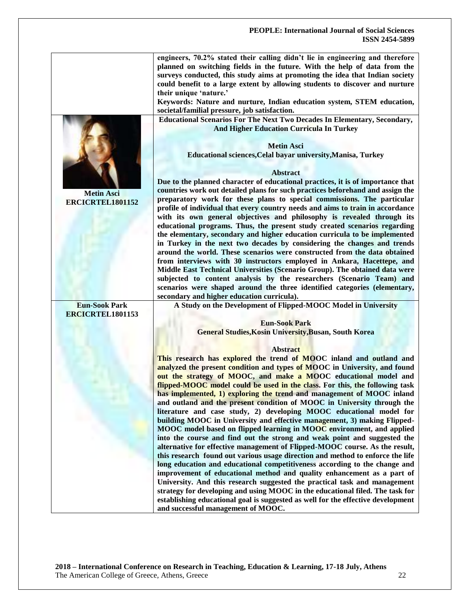**engineers, 70.2% stated their calling didn't lie in engineering and therefore planned on switching fields in the future. With the help of data from the surveys conducted, this study aims at promoting the idea that Indian society could benefit to a large extent by allowing students to discover and nurture their unique ‗nature.'**

**Keywords: Nature and nurture, Indian education system, STEM education, societal/familial pressure, job satisfaction.** 

**Educational Scenarios For The Next Two Decades In Elementary, Secondary, And Higher Education Curricula In Turkey**



**Educational sciences,Celal bayar university,Manisa, Turkey**

#### **Abstract**

**Due to the planned character of educational practices, it is of importance that countries work out detailed plans for such practices beforehand and assign the preparatory work for these plans to special commissions. The particular profile of individual that every country needs and aims to train in accordance with its own general objectives and philosophy is revealed through its educational programs. Thus, the present study created scenarios regarding the elementary, secondary and higher education curricula to be implemented in Turkey in the next two decades by considering the changes and trends around the world. These scenarios were constructed from the data obtained from interviews with 30 instructors employed in Ankara, Hacettepe, and Middle East Technical Universities (Scenario Group). The obtained data were subjected to content analysis by the researchers (Scenario Team) and scenarios were shaped around the three identified categories (elementary, secondary and higher education curricula).**

**A Study on the Development of Flipped-MOOC Model in University**

**Eun-Sook Park**

**General Studies,Kosin University,Busan, South Korea**

#### **Abstract**

**This research has explored the trend of MOOC inland and outland and analyzed the present condition and types of MOOC in University, and found out the strategy of MOOC, and make a MOOC educational model and flipped-MOOC model could be used in the class. For this, the following task has implemented, 1) exploring the trend and management of MOOC inland and outland and the present condition of MOOC in University through the literature and case study, 2) developing MOOC educational model for building MOOC in University and effective management, 3) making Flipped-MOOC model based on flipped learning in MOOC environment, and applied into the course and find out the strong and weak point and suggested the alternative for effective management of Flipped-MOOC course. As the result, this research found out various usage direction and method to enforce the life long education and educational competitiveness according to the change and improvement of educational method and quality enhancement as a part of University. And this research suggested the practical task and management strategy for developing and using MOOC in the educational filed. The task for establishing educational goal is suggested as well for the effective development and successful management of MOOC.**



**Metin Asci ERCICRTEL1801152**

**Eun-Sook Park ERCICRTEL1801153**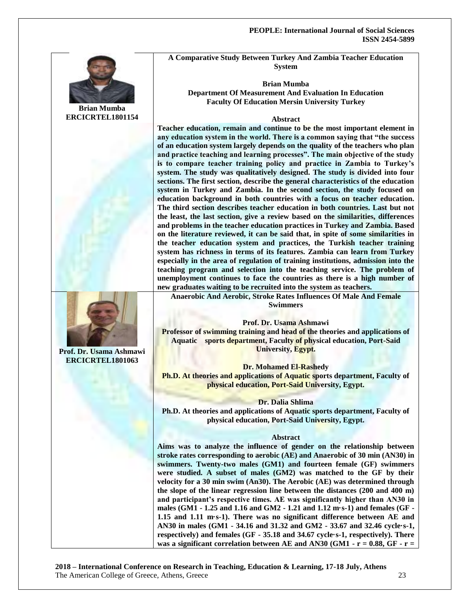

**Brian Mumba ERCICRTEL1801154**



**Prof. Dr. Usama Ashmawi ERCICRTEL1801063**

**A Comparative Study Between Turkey And Zambia Teacher Education System**

**Brian Mumba Department Of Measurement And Evaluation In Education Faculty Of Education Mersin University Turkey**

#### **Abstract**

**Teacher education, remain and continue to be the most important element in**  any education system in the world. There is a common saying that "the success" **of an education system largely depends on the quality of the teachers who plan**  and practice teaching and learning processes". The main objective of the study **is to compare teacher training policy and practice in Zambia to Turkey's system. The study was qualitatively designed. The study is divided into four sections. The first section, describe the general characteristics of the education system in Turkey and Zambia. In the second section, the study focused on education background in both countries with a focus on teacher education. The third section describes teacher education in both countries. Last but not the least, the last section, give a review based on the similarities, differences and problems in the teacher education practices in Turkey and Zambia. Based on the literature reviewed, it can be said that, in spite of some similarities in the teacher education system and practices, the Turkish teacher training system has richness in terms of its features. Zambia can learn from Turkey especially in the area of regulation of training institutions, admission into the teaching program and selection into the teaching service. The problem of unemployment continues to face the countries as there is a high number of new graduates waiting to be recruited into the system as teachers.**

**Anaerobic And Aerobic, Stroke Rates Influences Of Male And Female Swimmers**

**Prof. Dr. Usama Ashmawi Professor of swimming training and head of the theories and applications of Aquatic sports department, Faculty of physical education, Port-Said University, Egypt.**

**Dr. Mohamed El-Rashedy** 

**Ph.D. At theories and applications of Aquatic sports department, Faculty of physical education, Port-Said University, Egypt.**

**Dr. Dalia Shlima** 

**Ph.D. At theories and applications of Aquatic sports department, Faculty of physical education, Port-Said University, Egypt.**

#### **Abstract**

**Aims was to analyze the influence of gender on the relationship between stroke rates corresponding to aerobic (AE) and Anaerobic of 30 min (AN30) in swimmers. Twenty-two males (GM1) and fourteen female (GF) swimmers were studied. A subset of males (GM2) was matched to the GF by their velocity for a 30 min swim (An30). The Aerobic (AE) was determined through the slope of the linear regression line between the distances (200 and 400 m) and participant's respective times. AE was significantly higher than AN30 in males (GM1 - 1.25 and 1.16 and GM2 - 1.21 and 1.12 m·s-1) and females (GF - 1.15 and 1.11 m·s-1). There was no significant difference between AE and AN30 in males (GM1 - 34.16 and 31.32 and GM2 - 33.67 and 32.46 cycle·s-1, respectively) and females (GF - 35.18 and 34.67 cycle·s-1, respectively). There was a significant correlation between AE and AN30 (GM1 - r = 0.88, GF - r =**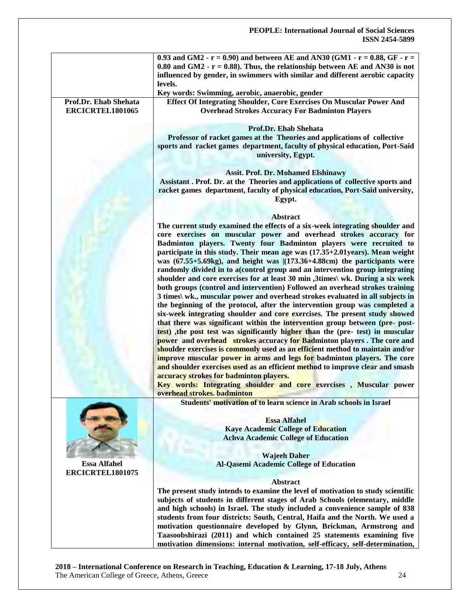|                                           | 0.93 and GM2 - $r = 0.90$ and between AE and AN30 (GM1 - $r = 0.88$ , GF - $r =$<br>0.80 and GM2 - $r = 0.88$ ). Thus, the relationship between AE and AN30 is not<br>influenced by gender, in swimmers with similar and different aerobic capacity<br>levels.                                                                                                                                                  |
|-------------------------------------------|-----------------------------------------------------------------------------------------------------------------------------------------------------------------------------------------------------------------------------------------------------------------------------------------------------------------------------------------------------------------------------------------------------------------|
|                                           | Key words: Swimming, aerobic, anaerobic, gender                                                                                                                                                                                                                                                                                                                                                                 |
| Prof.Dr. Ehab Shehata<br>ERCICRTEL1801065 | Effect Of Integrating Shoulder, Core Exercises On Muscular Power And<br><b>Overhead Strokes Accuracy For Badminton Players</b>                                                                                                                                                                                                                                                                                  |
|                                           | <b>Prof.Dr. Ehab Shehata</b><br>Professor of racket games at the Theories and applications of collective<br>sports and racket games department, faculty of physical education, Port-Said<br>university, Egypt.                                                                                                                                                                                                  |
|                                           | <b>Assit. Prof. Dr. Mohamed Elshinawy</b><br>Assistant . Prof. Dr. at the Theories and applications of collective sports and<br>racket games department, faculty of physical education, Port-Said university,                                                                                                                                                                                                   |
|                                           | Egypt.                                                                                                                                                                                                                                                                                                                                                                                                          |
|                                           | <b>Abstract</b>                                                                                                                                                                                                                                                                                                                                                                                                 |
|                                           | The current study examined the effects of a six-week integrating shoulder and                                                                                                                                                                                                                                                                                                                                   |
|                                           | core exercises on muscular power and overhead strokes accuracy for<br>Badminton players. Twenty four Badminton players were recruited to                                                                                                                                                                                                                                                                        |
|                                           | participate in this study. Their mean age was (17.35+2.01years). Mean weight<br>was $(67.55+5.69kg)$ , and height was $(173.36+4.88cm)$ the participants were<br>randomly divided in to a(control group and an intervention group integrating<br>shoulder and core exercises for at least 30 min ,3times\ wk. During a six week<br>both groups (control and intervention) Followed an overhead strokes training |
|                                           | 3 times\ wk., muscular power and overhead strokes evaluated in all subjects in<br>the beginning of the protocol, after the intervention group was completed a<br>six-week integrating shoulder and core exercises. The present study showed<br>that there was significant within the intervention group between (pre- post-                                                                                     |
|                                           | test), the post test was significantly higher than the (pre- test) in muscular<br>power and overhead strokes accuracy for Badminton players. The core and<br>shoulder exercises is commonly used as an efficient method to maintain and/or<br>improve muscular power in arms and legs for badminton players. The core                                                                                           |
|                                           | and shoulder exercises used as an efficient method to improve clear and smash<br>accuracy strokes for badminton players.<br>Key words: Integrating shoulder and core exercises, Muscular power                                                                                                                                                                                                                  |
|                                           | overhead strokes. badminton                                                                                                                                                                                                                                                                                                                                                                                     |
|                                           | Students' motivation of to learn science in Arab schools in Israel                                                                                                                                                                                                                                                                                                                                              |
|                                           | <b>Essa Alfahel</b>                                                                                                                                                                                                                                                                                                                                                                                             |
|                                           | <b>Kaye Academic College of Education</b>                                                                                                                                                                                                                                                                                                                                                                       |
|                                           | <b>Achva Academic College of Education</b>                                                                                                                                                                                                                                                                                                                                                                      |
|                                           | <b>Wajeeh Daher</b>                                                                                                                                                                                                                                                                                                                                                                                             |
| <b>Essa Alfahel</b><br>ERCICRTEL1801075   | <b>Al-Qasemi Academic College of Education</b>                                                                                                                                                                                                                                                                                                                                                                  |
|                                           | Abstract                                                                                                                                                                                                                                                                                                                                                                                                        |
|                                           | The present study intends to examine the level of motivation to study scientific<br>subjects of students in different stages of Arab Schools (elementary, middle                                                                                                                                                                                                                                                |
|                                           | and high schools) in Israel. The study included a convenience sample of 838<br>students from four districts: South, Central, Haifa and the North. We used a                                                                                                                                                                                                                                                     |
|                                           | motivation questionnaire developed by Glynn, Brickman, Armstrong and<br>Taasoobshirazi (2011) and which contained 25 statements examining five<br>motivation dimensions: internal motivation, self-efficacy, self-determination,                                                                                                                                                                                |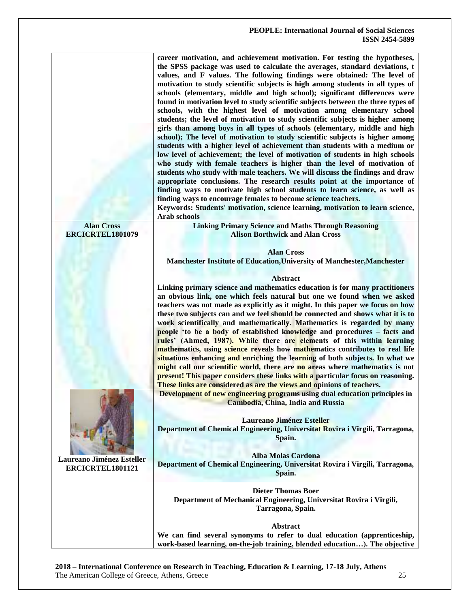|                           | career motivation, and achievement motivation. For testing the hypotheses,<br>the SPSS package was used to calculate the averages, standard deviations, t<br>values, and F values. The following findings were obtained: The level of<br>motivation to study scientific subjects is high among students in all types of<br>schools (elementary, middle and high school); significant differences were<br>found in motivation level to study scientific subjects between the three types of<br>schools, with the highest level of motivation among elementary school<br>students; the level of motivation to study scientific subjects is higher among<br>girls than among boys in all types of schools (elementary, middle and high<br>school); The level of motivation to study scientific subjects is higher among<br>students with a higher level of achievement than students with a medium or<br>low level of achievement; the level of motivation of students in high schools<br>who study with female teachers is higher than the level of motivation of<br>students who study with male teachers. We will discuss the findings and draw<br>appropriate conclusions. The research results point at the importance of<br>finding ways to motivate high school students to learn science, as well as<br>finding ways to encourage females to become science teachers.<br>Keywords: Students' motivation, science learning, motivation to learn science,<br><b>Arab schools</b> |
|---------------------------|-------------------------------------------------------------------------------------------------------------------------------------------------------------------------------------------------------------------------------------------------------------------------------------------------------------------------------------------------------------------------------------------------------------------------------------------------------------------------------------------------------------------------------------------------------------------------------------------------------------------------------------------------------------------------------------------------------------------------------------------------------------------------------------------------------------------------------------------------------------------------------------------------------------------------------------------------------------------------------------------------------------------------------------------------------------------------------------------------------------------------------------------------------------------------------------------------------------------------------------------------------------------------------------------------------------------------------------------------------------------------------------------------------------------------------------------------------------------------------------|
| <b>Alan Cross</b>         | <b>Linking Primary Science and Maths Through Reasoning</b>                                                                                                                                                                                                                                                                                                                                                                                                                                                                                                                                                                                                                                                                                                                                                                                                                                                                                                                                                                                                                                                                                                                                                                                                                                                                                                                                                                                                                          |
| ERCICRTEL1801079          | <b>Alison Borthwick and Alan Cross</b>                                                                                                                                                                                                                                                                                                                                                                                                                                                                                                                                                                                                                                                                                                                                                                                                                                                                                                                                                                                                                                                                                                                                                                                                                                                                                                                                                                                                                                              |
|                           |                                                                                                                                                                                                                                                                                                                                                                                                                                                                                                                                                                                                                                                                                                                                                                                                                                                                                                                                                                                                                                                                                                                                                                                                                                                                                                                                                                                                                                                                                     |
|                           | <b>Alan Cross</b>                                                                                                                                                                                                                                                                                                                                                                                                                                                                                                                                                                                                                                                                                                                                                                                                                                                                                                                                                                                                                                                                                                                                                                                                                                                                                                                                                                                                                                                                   |
|                           | Manchester Institute of Education, University of Manchester, Manchester                                                                                                                                                                                                                                                                                                                                                                                                                                                                                                                                                                                                                                                                                                                                                                                                                                                                                                                                                                                                                                                                                                                                                                                                                                                                                                                                                                                                             |
|                           |                                                                                                                                                                                                                                                                                                                                                                                                                                                                                                                                                                                                                                                                                                                                                                                                                                                                                                                                                                                                                                                                                                                                                                                                                                                                                                                                                                                                                                                                                     |
|                           |                                                                                                                                                                                                                                                                                                                                                                                                                                                                                                                                                                                                                                                                                                                                                                                                                                                                                                                                                                                                                                                                                                                                                                                                                                                                                                                                                                                                                                                                                     |
|                           | <b>Abstract</b>                                                                                                                                                                                                                                                                                                                                                                                                                                                                                                                                                                                                                                                                                                                                                                                                                                                                                                                                                                                                                                                                                                                                                                                                                                                                                                                                                                                                                                                                     |
|                           | Linking primary science and mathematics education is for many practitioners                                                                                                                                                                                                                                                                                                                                                                                                                                                                                                                                                                                                                                                                                                                                                                                                                                                                                                                                                                                                                                                                                                                                                                                                                                                                                                                                                                                                         |
|                           | an obvious link, one which feels natural but one we found when we asked                                                                                                                                                                                                                                                                                                                                                                                                                                                                                                                                                                                                                                                                                                                                                                                                                                                                                                                                                                                                                                                                                                                                                                                                                                                                                                                                                                                                             |
|                           | teachers was not made as explicitly as it might. In this paper we focus on how                                                                                                                                                                                                                                                                                                                                                                                                                                                                                                                                                                                                                                                                                                                                                                                                                                                                                                                                                                                                                                                                                                                                                                                                                                                                                                                                                                                                      |
|                           | these two subjects can and we feel should be connected and shows what it is to                                                                                                                                                                                                                                                                                                                                                                                                                                                                                                                                                                                                                                                                                                                                                                                                                                                                                                                                                                                                                                                                                                                                                                                                                                                                                                                                                                                                      |
|                           | work scientifically and mathematically. Mathematics is regarded by many                                                                                                                                                                                                                                                                                                                                                                                                                                                                                                                                                                                                                                                                                                                                                                                                                                                                                                                                                                                                                                                                                                                                                                                                                                                                                                                                                                                                             |
|                           | people 'to be a body of established knowledge and procedures - facts and                                                                                                                                                                                                                                                                                                                                                                                                                                                                                                                                                                                                                                                                                                                                                                                                                                                                                                                                                                                                                                                                                                                                                                                                                                                                                                                                                                                                            |
|                           | rules' (Ahmed, 1987). While there are elements of this within learning                                                                                                                                                                                                                                                                                                                                                                                                                                                                                                                                                                                                                                                                                                                                                                                                                                                                                                                                                                                                                                                                                                                                                                                                                                                                                                                                                                                                              |
|                           | mathematics, using science reveals how mathematics contributes to real life                                                                                                                                                                                                                                                                                                                                                                                                                                                                                                                                                                                                                                                                                                                                                                                                                                                                                                                                                                                                                                                                                                                                                                                                                                                                                                                                                                                                         |
|                           |                                                                                                                                                                                                                                                                                                                                                                                                                                                                                                                                                                                                                                                                                                                                                                                                                                                                                                                                                                                                                                                                                                                                                                                                                                                                                                                                                                                                                                                                                     |
|                           | situations enhancing and enriching the learning of both subjects. In what we                                                                                                                                                                                                                                                                                                                                                                                                                                                                                                                                                                                                                                                                                                                                                                                                                                                                                                                                                                                                                                                                                                                                                                                                                                                                                                                                                                                                        |
|                           | might call our scientific world, there are no areas where mathematics is not                                                                                                                                                                                                                                                                                                                                                                                                                                                                                                                                                                                                                                                                                                                                                                                                                                                                                                                                                                                                                                                                                                                                                                                                                                                                                                                                                                                                        |
|                           | present! This paper considers these links with a particular focus on reasoning.                                                                                                                                                                                                                                                                                                                                                                                                                                                                                                                                                                                                                                                                                                                                                                                                                                                                                                                                                                                                                                                                                                                                                                                                                                                                                                                                                                                                     |
|                           | These links are considered as are the views and opinions of teachers.                                                                                                                                                                                                                                                                                                                                                                                                                                                                                                                                                                                                                                                                                                                                                                                                                                                                                                                                                                                                                                                                                                                                                                                                                                                                                                                                                                                                               |
|                           | Development of new engineering programs using dual education principles in                                                                                                                                                                                                                                                                                                                                                                                                                                                                                                                                                                                                                                                                                                                                                                                                                                                                                                                                                                                                                                                                                                                                                                                                                                                                                                                                                                                                          |
|                           | Cambodia, China, India and Russia                                                                                                                                                                                                                                                                                                                                                                                                                                                                                                                                                                                                                                                                                                                                                                                                                                                                                                                                                                                                                                                                                                                                                                                                                                                                                                                                                                                                                                                   |
|                           |                                                                                                                                                                                                                                                                                                                                                                                                                                                                                                                                                                                                                                                                                                                                                                                                                                                                                                                                                                                                                                                                                                                                                                                                                                                                                                                                                                                                                                                                                     |
|                           | <b>Laureano Jiménez Esteller</b>                                                                                                                                                                                                                                                                                                                                                                                                                                                                                                                                                                                                                                                                                                                                                                                                                                                                                                                                                                                                                                                                                                                                                                                                                                                                                                                                                                                                                                                    |
|                           | Department of Chemical Engineering, Universitat Rovira i Virgili, Tarragona,                                                                                                                                                                                                                                                                                                                                                                                                                                                                                                                                                                                                                                                                                                                                                                                                                                                                                                                                                                                                                                                                                                                                                                                                                                                                                                                                                                                                        |
|                           | Spain.                                                                                                                                                                                                                                                                                                                                                                                                                                                                                                                                                                                                                                                                                                                                                                                                                                                                                                                                                                                                                                                                                                                                                                                                                                                                                                                                                                                                                                                                              |
|                           |                                                                                                                                                                                                                                                                                                                                                                                                                                                                                                                                                                                                                                                                                                                                                                                                                                                                                                                                                                                                                                                                                                                                                                                                                                                                                                                                                                                                                                                                                     |
|                           | <b>Alba Molas Cardona</b>                                                                                                                                                                                                                                                                                                                                                                                                                                                                                                                                                                                                                                                                                                                                                                                                                                                                                                                                                                                                                                                                                                                                                                                                                                                                                                                                                                                                                                                           |
| Laureano Jiménez Esteller | Department of Chemical Engineering, Universitat Rovira i Virgili, Tarragona,                                                                                                                                                                                                                                                                                                                                                                                                                                                                                                                                                                                                                                                                                                                                                                                                                                                                                                                                                                                                                                                                                                                                                                                                                                                                                                                                                                                                        |
| ERCICRTEL1801121          |                                                                                                                                                                                                                                                                                                                                                                                                                                                                                                                                                                                                                                                                                                                                                                                                                                                                                                                                                                                                                                                                                                                                                                                                                                                                                                                                                                                                                                                                                     |
|                           | Spain.                                                                                                                                                                                                                                                                                                                                                                                                                                                                                                                                                                                                                                                                                                                                                                                                                                                                                                                                                                                                                                                                                                                                                                                                                                                                                                                                                                                                                                                                              |
|                           |                                                                                                                                                                                                                                                                                                                                                                                                                                                                                                                                                                                                                                                                                                                                                                                                                                                                                                                                                                                                                                                                                                                                                                                                                                                                                                                                                                                                                                                                                     |
|                           | <b>Dieter Thomas Boer</b>                                                                                                                                                                                                                                                                                                                                                                                                                                                                                                                                                                                                                                                                                                                                                                                                                                                                                                                                                                                                                                                                                                                                                                                                                                                                                                                                                                                                                                                           |
|                           | Department of Mechanical Engineering, Universitat Rovira i Virgili,                                                                                                                                                                                                                                                                                                                                                                                                                                                                                                                                                                                                                                                                                                                                                                                                                                                                                                                                                                                                                                                                                                                                                                                                                                                                                                                                                                                                                 |
|                           | Tarragona, Spain.                                                                                                                                                                                                                                                                                                                                                                                                                                                                                                                                                                                                                                                                                                                                                                                                                                                                                                                                                                                                                                                                                                                                                                                                                                                                                                                                                                                                                                                                   |
|                           |                                                                                                                                                                                                                                                                                                                                                                                                                                                                                                                                                                                                                                                                                                                                                                                                                                                                                                                                                                                                                                                                                                                                                                                                                                                                                                                                                                                                                                                                                     |
|                           | <b>Abstract</b>                                                                                                                                                                                                                                                                                                                                                                                                                                                                                                                                                                                                                                                                                                                                                                                                                                                                                                                                                                                                                                                                                                                                                                                                                                                                                                                                                                                                                                                                     |
|                           | We can find several synonyms to refer to dual education (apprenticeship,                                                                                                                                                                                                                                                                                                                                                                                                                                                                                                                                                                                                                                                                                                                                                                                                                                                                                                                                                                                                                                                                                                                                                                                                                                                                                                                                                                                                            |
|                           | work-based learning, on-the-job training, blended education). The objective                                                                                                                                                                                                                                                                                                                                                                                                                                                                                                                                                                                                                                                                                                                                                                                                                                                                                                                                                                                                                                                                                                                                                                                                                                                                                                                                                                                                         |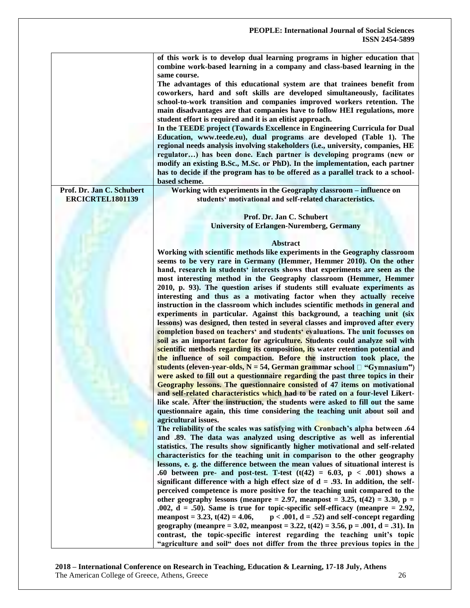|                                               | of this work is to develop dual learning programs in higher education that<br>combine work-based learning in a company and class-based learning in the<br>same course.<br>The advantages of this educational system are that trainees benefit from<br>coworkers, hard and soft skills are developed simultaneously, facilitates<br>school-to-work transition and companies improved workers retention. The<br>main disadvantages are that companies have to follow HEI regulations, more<br>student effort is required and it is an elitist approach.<br>In the TEEDE project (Towards Excellence in Engineering Curricula for Dual<br>Education, www.teede.eu), dual programs are developed (Table 1). The                                                                                                                                                                                                                                                                                                                                                                                                                                                                                                                                                                                                                                                                                                                                                                                                                                                                                                                                                        |
|-----------------------------------------------|--------------------------------------------------------------------------------------------------------------------------------------------------------------------------------------------------------------------------------------------------------------------------------------------------------------------------------------------------------------------------------------------------------------------------------------------------------------------------------------------------------------------------------------------------------------------------------------------------------------------------------------------------------------------------------------------------------------------------------------------------------------------------------------------------------------------------------------------------------------------------------------------------------------------------------------------------------------------------------------------------------------------------------------------------------------------------------------------------------------------------------------------------------------------------------------------------------------------------------------------------------------------------------------------------------------------------------------------------------------------------------------------------------------------------------------------------------------------------------------------------------------------------------------------------------------------------------------------------------------------------------------------------------------------|
|                                               | regional needs analysis involving stakeholders (i.e., university, companies, HE<br>regulator) has been done. Each partner is developing programs (new or<br>modify an existing B.Sc., M.Sc. or PhD). In the implementation, each partner                                                                                                                                                                                                                                                                                                                                                                                                                                                                                                                                                                                                                                                                                                                                                                                                                                                                                                                                                                                                                                                                                                                                                                                                                                                                                                                                                                                                                           |
|                                               | has to decide if the program has to be offered as a parallel track to a school-<br>based scheme.                                                                                                                                                                                                                                                                                                                                                                                                                                                                                                                                                                                                                                                                                                                                                                                                                                                                                                                                                                                                                                                                                                                                                                                                                                                                                                                                                                                                                                                                                                                                                                   |
| Prof. Dr. Jan C. Schubert<br>ERCICRTEL1801139 | Working with experiments in the Geography classroom - influence on<br>students' motivational and self-related characteristics.                                                                                                                                                                                                                                                                                                                                                                                                                                                                                                                                                                                                                                                                                                                                                                                                                                                                                                                                                                                                                                                                                                                                                                                                                                                                                                                                                                                                                                                                                                                                     |
|                                               | Prof. Dr. Jan C. Schubert                                                                                                                                                                                                                                                                                                                                                                                                                                                                                                                                                                                                                                                                                                                                                                                                                                                                                                                                                                                                                                                                                                                                                                                                                                                                                                                                                                                                                                                                                                                                                                                                                                          |
|                                               | <b>University of Erlangen-Nuremberg, Germany</b>                                                                                                                                                                                                                                                                                                                                                                                                                                                                                                                                                                                                                                                                                                                                                                                                                                                                                                                                                                                                                                                                                                                                                                                                                                                                                                                                                                                                                                                                                                                                                                                                                   |
|                                               | <b>Abstract</b>                                                                                                                                                                                                                                                                                                                                                                                                                                                                                                                                                                                                                                                                                                                                                                                                                                                                                                                                                                                                                                                                                                                                                                                                                                                                                                                                                                                                                                                                                                                                                                                                                                                    |
|                                               | Working with scientific methods like experiments in the Geography classroom<br>seems to be very rare in Germany (Hemmer, Hemmer 2010). On the other<br>hand, research in students' interests shows that experiments are seen as the<br>most interesting method in the Geography classroom (Hemmer, Hemmer<br>2010, p. 93). The question arises if students still evaluate experiments as<br>interesting and thus as a motivating factor when they actually receive<br>instruction in the classroom which includes scientific methods in general and<br>experiments in particular. Against this background, a teaching unit (six<br>lessons) was designed, then tested in several classes and improved after every<br>completion based on teachers' and students' evaluations. The unit focusses on<br>soil as an important factor for agriculture. Students could analyze soil with<br>scientific methods regarding its composition, its water retention potential and<br>the influence of soil compaction. Before the instruction took place, the<br>students (eleven-year-olds, N = 54, German grammar school $\Box$ "Gymnasium")<br>were asked to fill out a questionnaire regarding the past three topics in their<br>Geography lessons. The questionnaire consisted of 47 items on motivational<br>and self-related characteristics which had to be rated on a four-level Likert-<br>like scale. After the instruction, the students were asked to fill out the same<br>questionnaire again, this time considering the teaching unit about soil and<br>agricultural issues.<br>The reliability of the scales was satisfying with Cronbach's alpha between .64 |
|                                               | and .89. The data was analyzed using descriptive as well as inferential<br>statistics. The results show significantly higher motivational and self-related<br>characteristics for the teaching unit in comparison to the other geography<br>lessons, e. g. the difference between the mean values of situational interest is                                                                                                                                                                                                                                                                                                                                                                                                                                                                                                                                                                                                                                                                                                                                                                                                                                                                                                                                                                                                                                                                                                                                                                                                                                                                                                                                       |
|                                               | .60 between pre- and post-test. T-test $(t(42) = 6.03, p < .001)$ shows a<br>significant difference with a high effect size of $d = .93$ . In addition, the self-<br>perceived competence is more positive for the teaching unit compared to the<br>other geography lessons (meanpre = 2.97, meanpost = 3.25, $t(42)$ = 3.30, p =<br>.002, $d = .50$ ). Same is true for topic-specific self-efficacy (meanpre = 2.92,<br>$p < .001$ , $d = .52$ ) and self-concept regarding<br>meanpost = 3.23, $t(42) = 4.06$ ,<br>geography (meanpre = 3.02, meanpost = 3.22, t(42) = 3.56, p = .001, d = .31). In<br>contrast, the topic-specific interest regarding the teaching unit's topic<br>"agriculture and soil" does not differ from the three previous topics in the                                                                                                                                                                                                                                                                                                                                                                                                                                                                                                                                                                                                                                                                                                                                                                                                                                                                                                |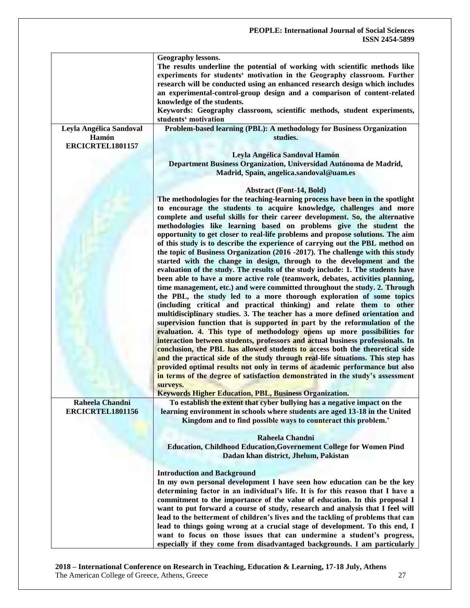|                         | Geography lessons.<br>The results underline the potential of working with scientific methods like<br>experiments for students' motivation in the Geography classroom. Further<br>research will be conducted using an enhanced research design which includes<br>an experimental-control-group design and a comparison of content-related<br>knowledge of the students.<br>Keywords: Geography classroom, scientific methods, student experiments,<br>students' motivation |
|-------------------------|---------------------------------------------------------------------------------------------------------------------------------------------------------------------------------------------------------------------------------------------------------------------------------------------------------------------------------------------------------------------------------------------------------------------------------------------------------------------------|
| Leyla Angélica Sandoval | Problem-based learning (PBL): A methodology for Business Organization                                                                                                                                                                                                                                                                                                                                                                                                     |
| Hamón                   | studies.                                                                                                                                                                                                                                                                                                                                                                                                                                                                  |
| ERCICRTEL1801157        |                                                                                                                                                                                                                                                                                                                                                                                                                                                                           |
|                         |                                                                                                                                                                                                                                                                                                                                                                                                                                                                           |
|                         | Leyla Angélica Sandoval Hamón                                                                                                                                                                                                                                                                                                                                                                                                                                             |
|                         | Department Business Organization, Universidad Autónoma de Madrid,                                                                                                                                                                                                                                                                                                                                                                                                         |
|                         | Madrid, Spain, angelica.sandoval@uam.es                                                                                                                                                                                                                                                                                                                                                                                                                                   |
|                         |                                                                                                                                                                                                                                                                                                                                                                                                                                                                           |
|                         | <b>Abstract (Font-14, Bold)</b>                                                                                                                                                                                                                                                                                                                                                                                                                                           |
|                         | The methodologies for the teaching-learning process have been in the spotlight                                                                                                                                                                                                                                                                                                                                                                                            |
|                         | to encourage the students to acquire knowledge, challenges and more                                                                                                                                                                                                                                                                                                                                                                                                       |
|                         | complete and useful skills for their career development. So, the alternative                                                                                                                                                                                                                                                                                                                                                                                              |
|                         | methodologies like learning based on problems give the student the                                                                                                                                                                                                                                                                                                                                                                                                        |
|                         | opportunity to get closer to real-life problems and propose solutions. The aim                                                                                                                                                                                                                                                                                                                                                                                            |
|                         | of this study is to describe the experience of carrying out the PBL method on                                                                                                                                                                                                                                                                                                                                                                                             |
|                         | the topic of Business Organization (2016 -2017). The challenge with this study                                                                                                                                                                                                                                                                                                                                                                                            |
|                         | started with the change in design, through to the development and the                                                                                                                                                                                                                                                                                                                                                                                                     |
|                         | evaluation of the study. The results of the study include: 1. The students have                                                                                                                                                                                                                                                                                                                                                                                           |
|                         | been able to have a more active role (teamwork, debates, activities planning,                                                                                                                                                                                                                                                                                                                                                                                             |
|                         | time management, etc.) and were committed throughout the study. 2. Through                                                                                                                                                                                                                                                                                                                                                                                                |
|                         | the PBL, the study led to a more thorough exploration of some topics                                                                                                                                                                                                                                                                                                                                                                                                      |
|                         | (including critical and practical thinking) and relate them to other                                                                                                                                                                                                                                                                                                                                                                                                      |
|                         | multidisciplinary studies. 3. The teacher has a more defined orientation and                                                                                                                                                                                                                                                                                                                                                                                              |
|                         | supervision function that is supported in part by the reformulation of the                                                                                                                                                                                                                                                                                                                                                                                                |
|                         | evaluation. 4. This type of methodology opens up more possibilities for                                                                                                                                                                                                                                                                                                                                                                                                   |
|                         | interaction between students, professors and actual business professionals. In                                                                                                                                                                                                                                                                                                                                                                                            |
|                         | conclusion, the PBL has allowed students to access both the theoretical side                                                                                                                                                                                                                                                                                                                                                                                              |
|                         | and the practical side of the study through real-life situations. This step has                                                                                                                                                                                                                                                                                                                                                                                           |
|                         | provided optimal results not only in terms of academic performance but also                                                                                                                                                                                                                                                                                                                                                                                               |
|                         | in terms of the degree of satisfaction demonstrated in the study's assessment                                                                                                                                                                                                                                                                                                                                                                                             |
|                         | surveys.                                                                                                                                                                                                                                                                                                                                                                                                                                                                  |
|                         | <b>Keywords Higher Education, PBL, Business Organization.</b>                                                                                                                                                                                                                                                                                                                                                                                                             |
| Raheela Chandni         | To establish the extent that cyber bullying has a negative impact on the                                                                                                                                                                                                                                                                                                                                                                                                  |
| ERCICRTEL1801156        | learning environment in schools where students are aged 13-18 in the United                                                                                                                                                                                                                                                                                                                                                                                               |
|                         | Kingdom and to find possible ways to counteract this problem.'                                                                                                                                                                                                                                                                                                                                                                                                            |
|                         |                                                                                                                                                                                                                                                                                                                                                                                                                                                                           |
|                         | Raheela Chandni                                                                                                                                                                                                                                                                                                                                                                                                                                                           |
|                         | <b>Education, Childhood Education, Governement College for Women Pind</b>                                                                                                                                                                                                                                                                                                                                                                                                 |
|                         | Dadan khan district, Jhelum, Pakistan                                                                                                                                                                                                                                                                                                                                                                                                                                     |
|                         |                                                                                                                                                                                                                                                                                                                                                                                                                                                                           |
|                         |                                                                                                                                                                                                                                                                                                                                                                                                                                                                           |
|                         | <b>Introduction and Background</b><br>In my own personal development I have seen how education can be the key                                                                                                                                                                                                                                                                                                                                                             |
|                         |                                                                                                                                                                                                                                                                                                                                                                                                                                                                           |
|                         | determining factor in an individual's life. It is for this reason that I have a                                                                                                                                                                                                                                                                                                                                                                                           |
|                         | commitment to the importance of the value of education. In this proposal I                                                                                                                                                                                                                                                                                                                                                                                                |
|                         | want to put forward a course of study, research and analysis that I feel will                                                                                                                                                                                                                                                                                                                                                                                             |
|                         | lead to the betterment of children's lives and the tackling of problems that can                                                                                                                                                                                                                                                                                                                                                                                          |
|                         | lead to things going wrong at a crucial stage of development. To this end, I                                                                                                                                                                                                                                                                                                                                                                                              |
|                         | want to focus on those issues that can undermine a student's progress,                                                                                                                                                                                                                                                                                                                                                                                                    |
|                         | especially if they come from disadvantaged backgrounds. I am particularly                                                                                                                                                                                                                                                                                                                                                                                                 |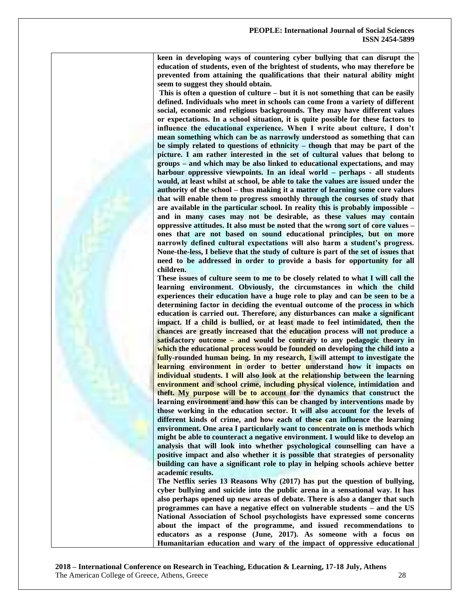**keen in developing ways of countering cyber bullying that can disrupt the education of students, even of the brightest of students, who may therefore be prevented from attaining the qualifications that their natural ability might seem to suggest they should obtain.**

**This is often a question of culture – but it is not something that can be easily defined. Individuals who meet in schools can come from a variety of different social, economic and religious backgrounds. They may have different values or expectations. In a school situation, it is quite possible for these factors to influence the educational experience. When I write about culture, I don't mean something which can be as narrowly understood as something that can be simply related to questions of ethnicity – though that may be part of the picture. I am rather interested in the set of cultural values that belong to groups – and which may be also linked to educational expectations, and may harbour oppressive viewpoints. In an ideal world – perhaps - all students would, at least whilst at school, be able to take the values are issued under the authority of the school – thus making it a matter of learning some core values that will enable them to progress smoothly through the courses of study that are available in the particular school. In reality this is probably impossible – and in many cases may not be desirable, as these values may contain oppressive attitudes. It also must be noted that the wrong sort of core values – ones that are not based on sound educational principles, but on more narrowly defined cultural expectations will also harm a student's progress. None-the-less, I believe that the study of culture is part of the set of issues that need to be addressed in order to provide a basis for opportunity for all children.**

**These issues of culture seem to me to be closely related to what I will call the learning environment. Obviously, the circumstances in which the child experiences their education have a huge role to play and can be seen to be a determining factor in deciding the eventual outcome of the process in which education is carried out. Therefore, any disturbances can make a significant impact. If a child is bullied, or at least made to feel intimidated, then the chances are greatly increased that the education process will not produce a satisfactory outcome – and would be contrary to any pedagogic theory in which the educational process would be founded on developing the child into a fully-rounded human being. In my research, I will attempt to investigate the learning environment in order to better understand how it impacts on individual students. I will also look at the relationship between the learning environment and school crime, including physical violence, intimidation and theft. My purpose will be to account for the dynamics that construct the learning environment and how this can be changed by interventions made by those working in the education sector. It will also account for the levels of different kinds of crime, and how each of these can influence the learning environment. One area I particularly want to concentrate on is methods which might be able to counteract a negative environment. I would like to develop an analysis that will look into whether psychological counselling can have a positive impact and also whether it is possible that strategies of personality building can have a significant role to play in helping schools achieve better academic results.**

**The Netflix series 13 Reasons Why (2017) has put the question of bullying, cyber bullying and suicide into the public arena in a sensational way. It has also perhaps opened up new areas of debate. There is also a danger that such programmes can have a negative effect on vulnerable students – and the US National Association of School psychologists have expressed some concerns about the impact of the programme, and issued recommendations to educators as a response (June, 2017). As someone with a focus on Humanitarian education and wary of the impact of oppressive educational**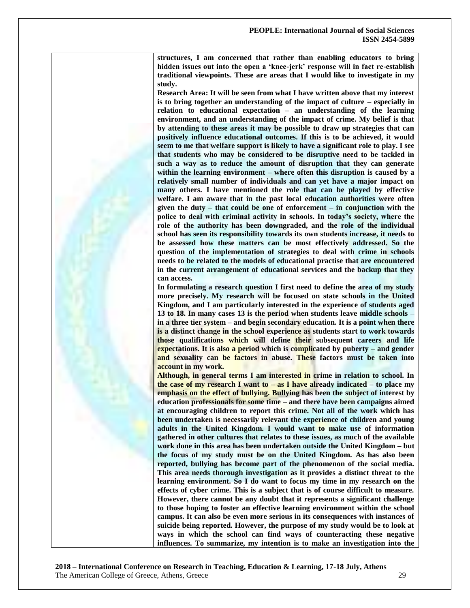**structures, I am concerned that rather than enabling educators to bring hidden issues out into the open a ‗knee-jerk' response will in fact re-establish traditional viewpoints. These are areas that I would like to investigate in my study.**

**Research Area: It will be seen from what I have written above that my interest is to bring together an understanding of the impact of culture – especially in relation to educational expectation – an understanding of the learning environment, and an understanding of the impact of crime. My belief is that by attending to these areas it may be possible to draw up strategies that can positively influence educational outcomes. If this is to be achieved, it would seem to me that welfare support is likely to have a significant role to play. I see that students who may be considered to be disruptive need to be tackled in such a way as to reduce the amount of disruption that they can generate within the learning environment – where often this disruption is caused by a relatively small number of individuals and can yet have a major impact on many others. I have mentioned the role that can be played by effective welfare. I am aware that in the past local education authorities were often given the duty – that could be one of enforcement – in conjunction with the police to deal with criminal activity in schools. In today's society, where the role of the authority has been downgraded, and the role of the individual school has seen its responsibility towards its own students increase, it needs to be assessed how these matters can be most effectively addressed. So the question of the implementation of strategies to deal with crime in schools needs to be related to the models of educational practise that are encountered in the current arrangement of educational services and the backup that they can access.** 

**In formulating a research question I first need to define the area of my study more precisely. My research will be focused on state schools in the United Kingdom, and I am particularly interested in the experience of students aged 13 to 18. In many cases 13 is the period when students leave middle schools – in a three tier system – and begin secondary education. It is a point when there is a distinct change in the school experience as students start to work towards those qualifications which will define their subsequent careers and life expectations. It is also a period which is complicated by puberty – and gender and sexuality can be factors in abuse. These factors must be taken into account in my work.** 

**Although, in general terms I am interested in crime in relation to school. In the case of my research I want to – as I have already indicated – to place my emphasis on the effect of bullying. Bullying has been the subject of interest by education professionals for some time – and there have been campaigns aimed at encouraging children to report this crime. Not all of the work which has been undertaken is necessarily relevant the experience of children and young adults in the United Kingdom. I would want to make use of information gathered in other cultures that relates to these issues, as much of the available work done in this area has been undertaken outside the United Kingdom – but the focus of my study must be on the United Kingdom. As has also been reported, bullying has become part of the phenomenon of the social media. This area needs thorough investigation as it provides a distinct threat to the learning environment. So I do want to focus my time in my research on the effects of cyber crime. This is a subject that is of course difficult to measure. However, there cannot be any doubt that it represents a significant challenge to those hoping to foster an effective learning environment within the school campus. It can also be even more serious in its consequences with instances of suicide being reported. However, the purpose of my study would be to look at ways in which the school can find ways of counteracting these negative influences. To summarize, my intention is to make an investigation into the**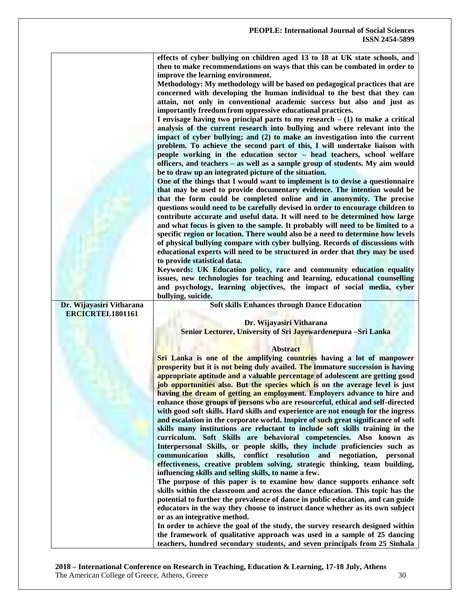|                          | effects of cyber bullying on children aged 13 to 18 at UK state schools, and                                                                           |
|--------------------------|--------------------------------------------------------------------------------------------------------------------------------------------------------|
|                          | then to make recommendations on ways that this can be combated in order to                                                                             |
|                          | improve the learning environment.                                                                                                                      |
|                          |                                                                                                                                                        |
|                          | Methodology: My methodology will be based on pedagogical practices that are                                                                            |
|                          | concerned with developing the human individual to the best that they can                                                                               |
|                          | attain, not only in conventional academic success but also and just as                                                                                 |
|                          | importantly freedom from oppressive educational practices.                                                                                             |
|                          | I envisage having two principal parts to my research $- (1)$ to make a critical                                                                        |
|                          | analysis of the current research into bullying and where relevant into the                                                                             |
|                          | impact of cyber bullying; and (2) to make an investigation into the current                                                                            |
|                          | problem. To achieve the second part of this, I will undertake liaison with                                                                             |
|                          | people working in the education sector - head teachers, school welfare                                                                                 |
|                          | officers, and teachers – as well as a sample group of students. My aim would                                                                           |
|                          |                                                                                                                                                        |
|                          | be to draw up an integrated picture of the situation.                                                                                                  |
|                          | One of the things that I would want to implement is to devise a questionnaire                                                                          |
|                          | that may be used to provide documentary evidence. The intention would be                                                                               |
|                          | that the form could be completed online and in anonymity. The precise                                                                                  |
|                          | questions would need to be carefully devised in order to encourage children to                                                                         |
|                          | contribute accurate and useful data. It will need to be determined how large                                                                           |
|                          | and what focus is given to the sample. It probably will need to be limited to a                                                                        |
|                          | specific region or location. There would also be a need to determine how levels                                                                        |
|                          | of physical bullying compare with cyber bullying. Records of discussions with                                                                          |
|                          | educational experts will need to be structured in order that they may be used                                                                          |
|                          | to provide statistical data.                                                                                                                           |
|                          | Keywords: UK Education policy, race and community education equality                                                                                   |
|                          | issues, new technologies for teaching and learning, educational counselling                                                                            |
|                          |                                                                                                                                                        |
|                          | and psychology, learning objectives, the impact of social media, cyber                                                                                 |
|                          | bullying, suicide.                                                                                                                                     |
|                          |                                                                                                                                                        |
| Dr. Wijayasiri Vitharana | <b>Soft skills Enhances through Dance Education</b>                                                                                                    |
| ERCICRTEL1801161         |                                                                                                                                                        |
|                          | Dr. Wijayasiri Vitharana                                                                                                                               |
|                          | Senior Lecturer, University of Sri Jayewardenepura -Sri Lanka                                                                                          |
|                          |                                                                                                                                                        |
|                          | <b>Abstract</b>                                                                                                                                        |
|                          | Sri Lanka is one of the amplifying countries having a lot of manpower                                                                                  |
|                          | prosperity but it is not being duly availed. The immature succession is having                                                                         |
|                          |                                                                                                                                                        |
|                          | appropriate aptitude and a valuable percentage of adolescent are getting good                                                                          |
|                          | job opportunities also. But the species which is on the average level is just                                                                          |
|                          | having the dream of getting an employment. Employers advance to hire and                                                                               |
|                          | enhance those groups of persons who are resourceful, ethical and self-directed                                                                         |
|                          | with good soft skills. Hard skills and experience are not enough for the ingress                                                                       |
|                          | and escalation in the corporate world. Inspire of such great significance of soft                                                                      |
|                          | skills many institutions are reluctant to include soft skills training in the                                                                          |
|                          | curriculum. Soft Skills are behavioral competencies. Also known as                                                                                     |
|                          | Interpersonal Skills, or people skills, they include proficiencies such as                                                                             |
|                          | communication skills,<br>conflict resolution and negotiation,<br>personal                                                                              |
|                          | effectiveness, creative problem solving, strategic thinking, team building,                                                                            |
|                          | influencing skills and selling skills, to name a few.                                                                                                  |
|                          | The purpose of this paper is to examine how dance supports enhance soft                                                                                |
|                          | skills within the classroom and across the dance education. This topic has the                                                                         |
|                          |                                                                                                                                                        |
|                          | potential to further the prevalence of dance in public education, and can guide                                                                        |
|                          | educators in the way they choose to instruct dance whether as its own subject                                                                          |
|                          | or as an integrative method.                                                                                                                           |
|                          | In order to achieve the goal of the study, the survey research designed within                                                                         |
|                          | the framework of qualitative approach was used in a sample of 25 dancing<br>teachers, hundred secondary students, and seven principals from 25 Sinhala |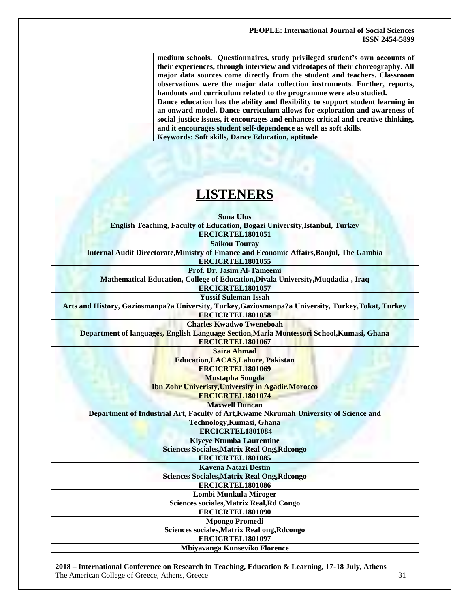| medium schools. Questionnaires, study privileged student's own accounts of        |
|-----------------------------------------------------------------------------------|
| their experiences, through interview and videotapes of their choreography. All    |
| major data sources come directly from the student and teachers. Classroom         |
| observations were the major data collection instruments. Further, reports,        |
| handouts and curriculum related to the programme were also studied.               |
| Dance education has the ability and flexibility to support student learning in    |
| an onward model. Dance curriculum allows for exploration and awareness of         |
| social justice issues, it encourages and enhances critical and creative thinking, |
| and it encourages student self-dependence as well as soft skills.                 |
| <b>Keywords: Soft skills, Dance Education, aptitude</b>                           |
|                                                                                   |

# **LISTENERS**

| <b>Suna Ulus</b><br>English Teaching, Faculty of Education, Bogazi University, Istanbul, Turkey                      |  |
|----------------------------------------------------------------------------------------------------------------------|--|
| ERCICRTEL1801051                                                                                                     |  |
| <b>Saikou Touray</b>                                                                                                 |  |
| Internal Audit Directorate, Ministry of Finance and Economic Affairs, Banjul, The Gambia                             |  |
| ERCICRTEL1801055                                                                                                     |  |
| Prof. Dr. Jasim Al-Tameemi                                                                                           |  |
| Mathematical Education, College of Education, Diyala University, Muqdadia, Iraq                                      |  |
| ERCICRTEL1801057                                                                                                     |  |
| <b>Yussif Suleman Issah</b>                                                                                          |  |
| Arts and History, Gaziosmanpa?a University, Turkey, Gaziosmanpa?a University, Turkey, Tokat, Turkey                  |  |
| <b>ERCICRTEL1801058</b>                                                                                              |  |
| <b>Charles Kwadwo Tweneboah</b>                                                                                      |  |
| Department of languages, English Language Section, Maria Montessori School, Kumasi, Ghana<br><b>ERCICRTEL1801067</b> |  |
| <b>Saira Ahmad</b>                                                                                                   |  |
| <b>Education, LACAS, Lahore, Pakistan</b>                                                                            |  |
| ERCICRTEL1801069                                                                                                     |  |
| <b>Mustapha Sougda</b>                                                                                               |  |
| <b>Ibn Zohr Univeristy, University in Agadir, Morocco</b>                                                            |  |
| <b>ERCICRTEL1801074</b>                                                                                              |  |
| <b>Maxwell Duncan</b>                                                                                                |  |
| Department of Industrial Art, Faculty of Art, Kwame Nkrumah University of Science and                                |  |
| Technology, Kumasi, Ghana                                                                                            |  |
| ERCICRTEL1801084                                                                                                     |  |
| <b>Kiyeye Ntumba Laurentine</b>                                                                                      |  |
| <b>Sciences Sociales, Matrix Real Ong, Rdcongo</b>                                                                   |  |
| <b>ERCICRTEL1801085</b>                                                                                              |  |
| <b>Kavena Natazi Destin</b>                                                                                          |  |
| <b>Sciences Sociales, Matrix Real Ong, Rdcongo</b>                                                                   |  |
| ERCICRTEL1801086                                                                                                     |  |
| Lombi Munkula Miroger                                                                                                |  |
| Sciences sociales, Matrix Real, Rd Congo                                                                             |  |
| ERCICRTEL1801090                                                                                                     |  |
| <b>Mpongo Promedi</b>                                                                                                |  |
| Sciences sociales, Matrix Real ong, Rdcongo                                                                          |  |
| ERCICRTEL1801097                                                                                                     |  |
| Mbiyavanga Kunseviko Florence                                                                                        |  |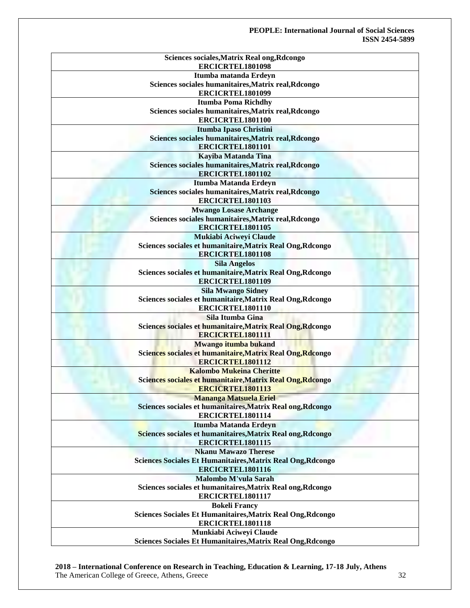| Sciences sociales, Matrix Real ong, Rdcongo<br>ERCICRTEL1801098    |
|--------------------------------------------------------------------|
| Itumba matanda Erdeyn                                              |
| Sciences sociales humanitaires, Matrix real, Rdcongo               |
| ERCICRTEL1801099                                                   |
|                                                                    |
| <b>Itumba Poma Richdhy</b>                                         |
| Sciences sociales humanitaires, Matrix real, Rdcongo               |
| ERCICRTEL1801100                                                   |
| Itumba Ipaso Christini                                             |
| Sciences sociales humanitaires, Matrix real, Rdcongo               |
| ERCICRTEL1801101                                                   |
| Kayiba Matanda Tina                                                |
| Sciences sociales humanitaires, Matrix real, Rdcongo               |
| ERCICRTEL1801102                                                   |
| Itumba Matanda Erdeyn                                              |
| Sciences sociales humanitaires, Matrix real, Rdcongo               |
|                                                                    |
| ERCICRTEL1801103                                                   |
| <b>Mwango Losase Archange</b>                                      |
| Sciences sociales humanitaires, Matrix real, Rdcongo               |
| ERCICRTEL1801105                                                   |
| Mukiabi Aciweyi Claude                                             |
| Sciences sociales et humanitaire, Matrix Real Ong, Rdcongo         |
| ERCICRTEL1801108                                                   |
| <b>Sila Angelos</b>                                                |
| Sciences sociales et humanitaire, Matrix Real Ong, Rdcongo         |
|                                                                    |
| ERCICRTEL1801109                                                   |
| <b>Sila Mwango Sidney</b>                                          |
| Sciences sociales et humanitaire, Matrix Real Ong, Rdcongo         |
| ERCICRTEL1801110                                                   |
| Sila Itumba Gina                                                   |
| Sciences sociales et humanitaire, Matrix Real Ong, Rdcongo         |
| ERCICRTEL1801111                                                   |
| Mwango itumba bukand                                               |
| Sciences sociales et humanitaire, Matrix Real Ong, Rdcongo         |
| ERCICRTEL1801112                                                   |
| <b>Kalombo Mukeina Cheritte</b>                                    |
|                                                                    |
| Sciences sociales et humanitaire, Matrix Real Ong, Rdcongo         |
| <b>ERCICRTEL1801113</b>                                            |
| <b>Mananga Matsuela Eriel</b>                                      |
| Sciences sociales et humanitaires, Matrix Real ong, Rdcongo        |
| ERCICRTEL1801114                                                   |
| Itumba Matanda Erdeyn                                              |
| Sciences sociales et humanitaires, Matrix Real ong, Rdcongo        |
| ERCICRTEL1801115                                                   |
| <b>Nkanu Mawazo Therese</b>                                        |
| <b>Sciences Sociales Et Humanitaires, Matrix Real Ong, Rdcongo</b> |
| ERCICRTEL1801116                                                   |
|                                                                    |
| <b>Malombo M'vula Sarah</b>                                        |
| Sciences sociales et humanitaires, Matrix Real ong, Rdcongo        |
| ERCICRTEL1801117                                                   |
| <b>Bokeli Francy</b>                                               |
| Sciences Sociales Et Humanitaires, Matrix Real Ong, Rdcongo        |
| ERCICRTEL1801118                                                   |
| Munkiabi Aciweyi Claude                                            |
| Sciences Sociales Et Humanitaires, Matrix Real Ong, Rdcongo        |
|                                                                    |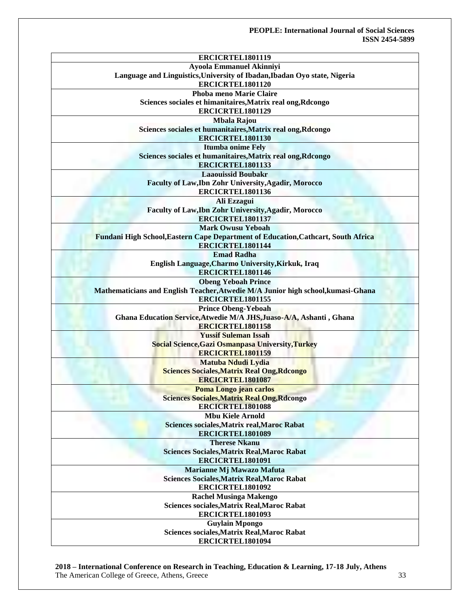| <b>Ayoola Emmanuel Akinniyi</b><br>Language and Linguistics, University of Ibadan, Ibadan Oyo state, Nigeria |
|--------------------------------------------------------------------------------------------------------------|
|                                                                                                              |
|                                                                                                              |
| ERCICRTEL1801120                                                                                             |
| Phoba meno Marie Claire                                                                                      |
| Sciences sociales et himanitaires, Matrix real ong, Rdcongo                                                  |
| ERCICRTEL1801129                                                                                             |
| <b>Mbala Rajou</b>                                                                                           |
| Sciences sociales et humanitaires, Matrix real ong, Rdcongo                                                  |
| ERCICRTEL1801130                                                                                             |
| <b>Itumba onime Fely</b>                                                                                     |
| Sciences sociales et humanitaires, Matrix real ong, Rdcongo                                                  |
| ERCICRTEL1801133                                                                                             |
| <b>Laaouissid Boubakr</b>                                                                                    |
| Faculty of Law, Ibn Zohr University, Agadir, Morocco                                                         |
| ERCICRTEL1801136                                                                                             |
| Ali Ezzagui                                                                                                  |
| Faculty of Law, Ibn Zohr University, Agadir, Morocco                                                         |
| ERCICRTEL1801137                                                                                             |
| <b>Mark Owusu Yeboah</b>                                                                                     |
| <b>Fundani High School, Eastern Cape Department of Education, Cathcart, South Africa</b>                     |
| ERCICRTEL1801144                                                                                             |
| <b>Emad Radha</b>                                                                                            |
| English Language, Charmo University, Kirkuk, Iraq                                                            |
| <b>ERCICRTEL1801146</b>                                                                                      |
| <b>Obeng Yeboah Prince</b>                                                                                   |
| Mathematicians and English Teacher, Atwedie M/A Junior high school, kumasi-Ghana                             |
| ERCICRTEL1801155                                                                                             |
| <b>Prince Obeng-Yeboah</b>                                                                                   |
| Ghana Education Service, Atwedie M/A JHS, Juaso-A/A, Ashanti, Ghana                                          |
| ERCICRTEL1801158                                                                                             |
| <b>Yussif Suleman Issah</b>                                                                                  |
| Social Science, Gazi Osmanpasa University, Turkey                                                            |
| <b>ERCICRTEL1801159</b>                                                                                      |
| Matuba Ndudi Lydia                                                                                           |
| <b>Sciences Sociales, Matrix Real Ong, Rdcongo</b>                                                           |
| <b>ERCICRTEL1801087</b>                                                                                      |
| Poma Longo jean carlos                                                                                       |
| Sciences Sociales, Matrix Real Ong, Rdcongo                                                                  |
| <b>ERCICRTEL1801088</b>                                                                                      |
| <b>Mbu Kiele Arnold</b>                                                                                      |
| Sciences sociales, Matrix real, Maroc Rabat                                                                  |
| ERCICRTEL1801089                                                                                             |
| <b>Therese Nkanu</b>                                                                                         |
| <b>Sciences Sociales, Matrix Real, Maroc Rabat</b>                                                           |
| ERCICRTEL1801091                                                                                             |
| Marianne Mj Mawazo Mafuta                                                                                    |
| <b>Sciences Sociales, Matrix Real, Maroc Rabat</b>                                                           |
| ERCICRTEL1801092                                                                                             |
| <b>Rachel Musinga Makengo</b>                                                                                |
| Sciences sociales, Matrix Real, Maroc Rabat                                                                  |
| ERCICRTEL1801093                                                                                             |
| <b>Guylain Mpongo</b>                                                                                        |
| Sciences sociales, Matrix Real, Maroc Rabat                                                                  |
| ERCICRTEL1801094                                                                                             |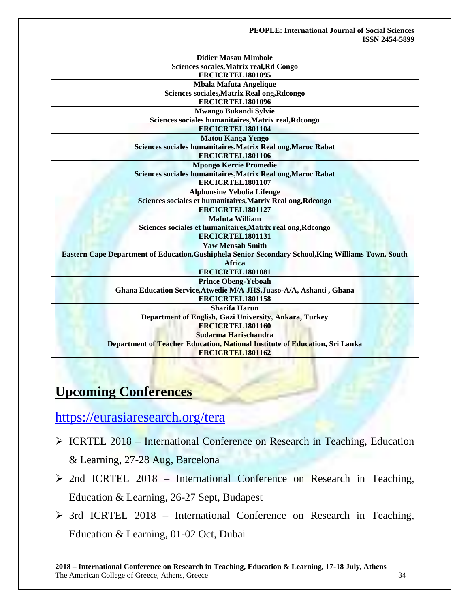| <b>Didier Masau Mimbole</b>                                                                         |
|-----------------------------------------------------------------------------------------------------|
| Sciences socales, Matrix real, Rd Congo                                                             |
| ERCICRTEL1801095                                                                                    |
| <b>Mbala Mafuta Angelique</b>                                                                       |
| Sciences sociales, Matrix Real ong, Rdcongo                                                         |
| ERCICRTEL1801096                                                                                    |
| <b>Mwango Bukandi Sylvie</b>                                                                        |
| Sciences sociales humanitaires, Matrix real, Rdcongo                                                |
| ERCICRTEL1801104                                                                                    |
| <b>Matou Kanga Yengo</b>                                                                            |
| Sciences sociales humanitaires, Matrix Real ong, Maroc Rabat                                        |
| ERCICRTEL1801106                                                                                    |
| <b>Mpongo Kercie Promedie</b>                                                                       |
| Sciences sociales humanitaires, Matrix Real ong, Maroc Rabat                                        |
| ERCICRTEL1801107                                                                                    |
| <b>Alphonsine Yebolia Lifenge</b>                                                                   |
| Sciences sociales et humanitaires, Matrix Real ong, Rdcongo                                         |
| ERCICRTEL1801127                                                                                    |
| <b>Mafuta William</b>                                                                               |
| Sciences sociales et humanitaires, Matrix real ong, Rdcongo                                         |
| ERCICRTEL1801131                                                                                    |
| <b>Yaw Mensah Smith</b>                                                                             |
| Eastern Cape Department of Education, Gushiphela Senior Secondary School, King Williams Town, South |
| <b>Africa</b>                                                                                       |
| ERCICRTEL1801081                                                                                    |
| <b>Prince Obeng-Yeboah</b>                                                                          |
| Ghana Education Service, Atwedie M/A JHS, Juaso-A/A, Ashanti, Ghana                                 |
| ERCICRTEL1801158                                                                                    |
| Sharifa Harun                                                                                       |
| Department of English, Gazi University, Ankara, Turkey                                              |
| ERCICRTEL1801160                                                                                    |
| Sudarma Harischandra                                                                                |
| Department of Teacher Education, National Institute of Education, Sri Lanka                         |
| ERCICRTEL1801162                                                                                    |

# **Upcoming Conferences**

<https://eurasiaresearch.org/tera>

- $\triangleright$  ICRTEL 2018 International Conference on Research in Teaching, Education & Learning, 27-28 Aug, Barcelona
- $\geq$  2nd ICRTEL 2018 International Conference on Research in Teaching, Education & Learning, 26-27 Sept, Budapest
- $\geq$  3rd ICRTEL 2018 International Conference on Research in Teaching, Education & Learning, 01-02 Oct, Dubai